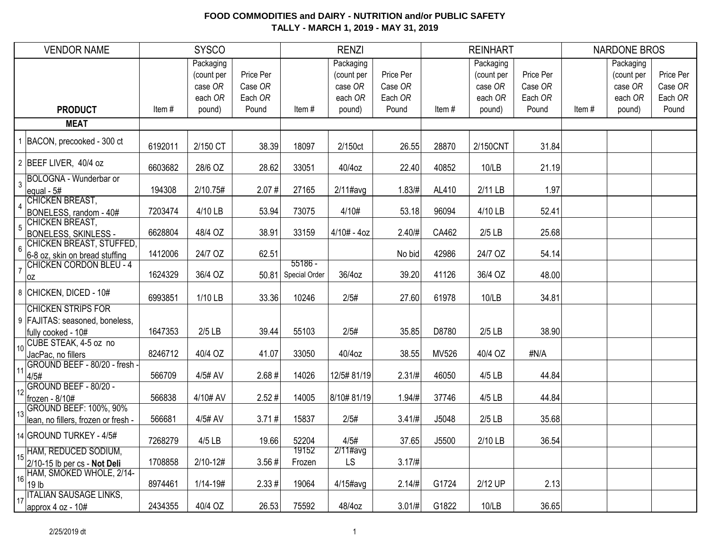| <b>VENDOR NAME</b>                                                                    |         | <b>SYSCO</b>                                  |                                 |                 | <b>RENZI</b>                                  |                                 |       | <b>REINHART</b>                               |                                 |       | <b>NARDONE BROS</b>                           |                                 |
|---------------------------------------------------------------------------------------|---------|-----------------------------------------------|---------------------------------|-----------------|-----------------------------------------------|---------------------------------|-------|-----------------------------------------------|---------------------------------|-------|-----------------------------------------------|---------------------------------|
|                                                                                       |         | Packaging<br>(count per<br>case OR<br>each OR | Price Per<br>Case OR<br>Each OR |                 | Packaging<br>(count per<br>case OR<br>each OR | Price Per<br>Case OR<br>Each OR |       | Packaging<br>(count per<br>case OR<br>each OR | Price Per<br>Case OR<br>Each OR |       | Packaging<br>(count per<br>case OR<br>each OR | Price Per<br>Case OR<br>Each OR |
| <b>PRODUCT</b>                                                                        | Item#   | pound)                                        | Pound                           | Item#           | pound)                                        | Pound                           | Item# | pound)                                        | Pound                           | Item# | pound)                                        | Pound                           |
| <b>MEAT</b>                                                                           |         |                                               |                                 |                 |                                               |                                 |       |                                               |                                 |       |                                               |                                 |
| 1 BACON, precooked - 300 ct                                                           | 6192011 | 2/150 CT                                      | 38.39                           | 18097           | 2/150ct                                       | 26.55                           | 28870 | 2/150CNT                                      | 31.84                           |       |                                               |                                 |
| 2 BEEF LIVER, 40/4 oz                                                                 | 6603682 | 28/6 OZ                                       | 28.62                           | 33051           | 40/4oz                                        | 22.40                           | 40852 | 10/LB                                         | 21.19                           |       |                                               |                                 |
| BOLOGNA - Wunderbar or<br>$\overline{3}$<br>equal - 5#                                | 194308  | 2/10.75#                                      | 2.07#                           | 27165           | $2/11$ #avg                                   | 1.83/H                          | AL410 | 2/11 LB                                       | 1.97                            |       |                                               |                                 |
| CHICKEN BREAST,<br>BONELESS, random - 40#                                             | 7203474 | 4/10 LB                                       | 53.94                           | 73075           | 4/10#                                         | 53.18                           | 96094 | 4/10 LB                                       | 52.41                           |       |                                               |                                 |
| CHICKEN BREAST,<br>$\overline{5}$<br><b>BONELESS, SKINLESS -</b>                      | 6628804 | 48/4 OZ                                       | 38.91                           | 33159           | $4/10# - 4oz$                                 | 2.40/#                          | CA462 | $2/5$ LB                                      | 25.68                           |       |                                               |                                 |
| CHICKEN BREAST, STUFFED,<br>$6\phantom{a}$<br>6-8 oz, skin on bread stuffing          | 1412006 | 24/7 OZ                                       | 62.51                           | $55186 -$       |                                               | No bid                          | 42986 | 24/7 OZ                                       | 54.14                           |       |                                               |                                 |
| <b>CHICKEN CORDON BLEU - 4</b><br>$\overline{7}$<br> OZ                               | 1624329 | 36/4 OZ                                       | 50.81                           | Special Order   | 36/4oz                                        | 39.20                           | 41126 | 36/4 OZ                                       | 48.00                           |       |                                               |                                 |
| 8 CHICKEN, DICED - 10#                                                                | 6993851 | 1/10 LB                                       | 33.36                           | 10246           | 2/5#                                          | 27.60                           | 61978 | 10/LB                                         | 34.81                           |       |                                               |                                 |
| <b>CHICKEN STRIPS FOR</b><br>9   FAJITAS: seasoned, boneless,<br>fully cooked - 10#   | 1647353 | $2/5$ LB                                      | 39.44                           | 55103           | 2/5#                                          | 35.85                           | D8780 | $2/5$ LB                                      | 38.90                           |       |                                               |                                 |
| CUBE STEAK, 4-5 oz no<br>10 <sup>1</sup><br>JacPac, no fillers                        | 8246712 | 40/4 OZ                                       | 41.07                           | 33050           | 40/4oz                                        | 38.55                           | MV526 | 40/4 OZ                                       | #N/A                            |       |                                               |                                 |
| GROUND BEEF - 80/20 - fresh -<br>11<br>4/5#                                           | 566709  | 4/5# AV                                       | 2.68#                           | 14026           | 12/5#81/19                                    | $2.31/\#$                       | 46050 | 4/5 LB                                        | 44.84                           |       |                                               |                                 |
| GROUND BEEF - 80/20 -<br>12<br>frozen - 8/10#                                         | 566838  | 4/10# AV                                      | 2.52#                           | 14005           | 8/10#81/19                                    | 1.94 / #                        | 37746 | 4/5 LB                                        | 44.84                           |       |                                               |                                 |
| GROUND BEEF: 100%, 90%<br>13<br>lean, no fillers, frozen or fresh -                   | 566681  | 4/5# AV                                       | 3.71#                           | 15837           | 2/5#                                          | $3.41/\#$                       | J5048 | $2/5$ LB                                      | 35.68                           |       |                                               |                                 |
| 14 GROUND TURKEY - 4/5#                                                               | 7268279 | $4/5$ LB                                      | 19.66                           | 52204           | 4/5#                                          | 37.65                           | J5500 | 2/10 LB                                       | 36.54                           |       |                                               |                                 |
| HAM, REDUCED SODIUM,<br>$15\frac{ 10010, 1510, 22222 }{2/10-15}$ lb per cs - Not Deli | 1708858 | $2/10 - 12#$                                  | 3.56#                           | 19152<br>Frozen | $2/11\#avg$<br>LS                             | 3.17/#                          |       |                                               |                                 |       |                                               |                                 |
| 16 HAM, SMOKED WHOLE, 2/14-<br>$ 19 $ lb                                              | 8974461 | $1/14 - 19#$                                  | $2.33 \#$                       | 19064           | $4/15$ #avg                                   | 2.14/H                          | G1724 | 2/12 UP                                       | 2.13                            |       |                                               |                                 |
| 17 ITALIAN SAUSAGE LINKS,<br>approx $4$ oz - $10#$                                    | 2434355 | 40/4 OZ                                       | 26.53                           | 75592           | 48/4oz                                        | $3.01/\#$                       | G1822 | 10/LB                                         | 36.65                           |       |                                               |                                 |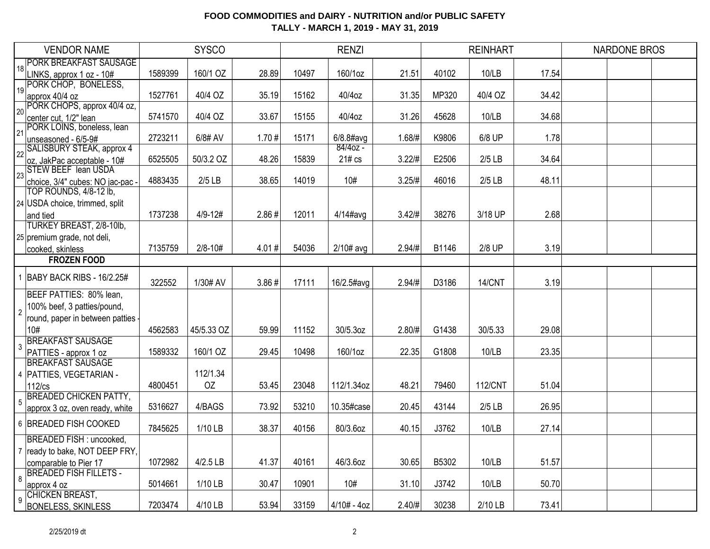|                | <b>VENDOR NAME</b>                                  |         | <b>SYSCO</b> |       |       | <b>RENZI</b>  |           |       | <b>REINHART</b> |       | <b>NARDONE BROS</b> |  |
|----------------|-----------------------------------------------------|---------|--------------|-------|-------|---------------|-----------|-------|-----------------|-------|---------------------|--|
|                | 18 PORK BREAKFAST SAUSAGE                           |         |              |       |       |               |           |       |                 |       |                     |  |
|                | LINKS, approx 1 oz - 10#                            | 1589399 | 160/1 OZ     | 28.89 | 10497 | 160/1oz       | 21.51     | 40102 | 10/LB           | 17.54 |                     |  |
| 19             | PORK CHOP, BONELESS,                                |         |              |       |       |               |           |       |                 |       |                     |  |
|                | approx 40/4 oz                                      | 1527761 | 40/4 OZ      | 35.19 | 15162 | 40/4oz        | 31.35     | MP320 | 40/4 OZ         | 34.42 |                     |  |
| 20             | PORK CHOPS, approx 40/4 oz,                         | 5741570 | 40/4 OZ      | 33.67 | 15155 | 40/4oz        | 31.26     | 45628 | 10/LB           | 34.68 |                     |  |
|                | center cut, 1/2" lean<br>PORK LOINS, boneless, lean |         |              |       |       |               |           |       |                 |       |                     |  |
| 21             | unseasoned - 6/5-9#                                 | 2723211 | 6/8# AV      | 1.70# | 15171 | $6/8.8$ #avg  | 1.68/#    | K9806 | 6/8 UP          | 1.78  |                     |  |
|                | 22 SALISBURY STEAK, approx 4                        |         |              |       |       | $84/40z -$    |           |       |                 |       |                     |  |
|                | $ oz, JakPac acceptable - 10#$                      | 6525505 | 50/3.2 OZ    | 48.26 | 15839 | 21# cs        | 3.22/#    | E2506 | $2/5$ LB        | 34.64 |                     |  |
|                | $\frac{1}{23}$ STEW BEEF lean USDA                  |         |              |       |       |               |           |       |                 |       |                     |  |
|                | choice, 3/4" cubes: NO jac-pac -                    | 4883435 | $2/5$ LB     | 38.65 | 14019 | 10#           | 3.25/H    | 46016 | $2/5$ LB        | 48.11 |                     |  |
|                | TOP ROUNDS, 4/8-12 lb,                              |         |              |       |       |               |           |       |                 |       |                     |  |
|                | 24 USDA choice, trimmed, split                      |         |              |       |       |               |           |       |                 |       |                     |  |
|                | and tied                                            | 1737238 | $4/9 - 12#$  | 2.86# | 12011 | $4/14$ #avg   | 3.42/#    | 38276 | 3/18 UP         | 2.68  |                     |  |
|                | TURKEY BREAST, 2/8-10lb,                            |         |              |       |       |               |           |       |                 |       |                     |  |
|                | 25 premium grade, not deli,                         |         |              |       |       |               |           |       |                 |       |                     |  |
|                | cooked, skinless                                    | 7135759 | $2/8 - 10#$  | 4.01# | 54036 | $2/10#$ avg   | $2.94/\#$ | B1146 | 2/8 UP          | 3.19  |                     |  |
|                | <b>FROZEN FOOD</b>                                  |         |              |       |       |               |           |       |                 |       |                     |  |
|                | 1 BABY BACK RIBS - 16/2.25#                         | 322552  | 1/30# AV     | 3.86# | 17111 | 16/2.5#avg    | $2.94/\#$ | D3186 | 14/CNT          | 3.19  |                     |  |
|                | BEEF PATTIES: 80% lean,                             |         |              |       |       |               |           |       |                 |       |                     |  |
| $\overline{2}$ | 100% beef, 3 patties/pound,                         |         |              |       |       |               |           |       |                 |       |                     |  |
|                | round, paper in between patties                     |         |              |       |       |               |           |       |                 |       |                     |  |
|                | 10#                                                 | 4562583 | 45/5.33 OZ   | 59.99 | 11152 | 30/5.3oz      | 2.80/H    | G1438 | 30/5.33         | 29.08 |                     |  |
|                | BREAKFAST SAUSAGE                                   |         |              |       |       |               |           |       |                 |       |                     |  |
|                | PATTIES - approx 1 oz                               | 1589332 | 160/1 OZ     | 29.45 | 10498 | 160/1oz       | 22.35     | G1808 | 10/LB           | 23.35 |                     |  |
|                | <b>BREAKFAST SAUSAGE</b>                            |         |              |       |       |               |           |       |                 |       |                     |  |
|                | 4   PATTIES, VEGETARIAN -                           |         | 112/1.34     |       |       |               |           |       |                 |       |                     |  |
|                | 112/cs                                              | 4800451 | OZ           | 53.45 | 23048 | 112/1.34oz    | 48.21     | 79460 | <b>112/CNT</b>  | 51.04 |                     |  |
| 5              | <b>BREADED CHICKEN PATTY,</b>                       | 5316627 | 4/BAGS       | 73.92 | 53210 | 10.35#case    | 20.45     | 43144 | $2/5$ LB        | 26.95 |                     |  |
|                | approx 3 oz, oven ready, white                      |         |              |       |       |               |           |       |                 |       |                     |  |
|                | 6 BREADED FISH COOKED                               | 7845625 | 1/10 LB      | 38.37 | 40156 | 80/3.6oz      | 40.15     | J3762 | 10/LB           | 27.14 |                     |  |
|                | BREADED FISH : uncooked,                            |         |              |       |       |               |           |       |                 |       |                     |  |
|                | 7   ready to bake, NOT DEEP FRY,                    |         |              |       |       |               |           |       |                 |       |                     |  |
|                | comparable to Pier 17                               | 1072982 | $4/2.5$ LB   | 41.37 | 40161 | 46/3.6oz      | 30.65     | B5302 | 10/LB           | 51.57 |                     |  |
| 8              | <b>BREADED FISH FILLETS -</b>                       | 5014661 | 1/10 LB      | 30.47 | 10901 | 10#           | 31.10     | J3742 | 10/LB           | 50.70 |                     |  |
|                | approx 4 oz<br><b>CHICKEN BREAST,</b>               |         |              |       |       |               |           |       |                 |       |                     |  |
| 9              | <b>BONELESS, SKINLESS</b>                           | 7203474 | 4/10 LB      | 53.94 | 33159 | $4/10# - 4oz$ | 2.40/#    | 30238 | 2/10 LB         | 73.41 |                     |  |
|                |                                                     |         |              |       |       |               |           |       |                 |       |                     |  |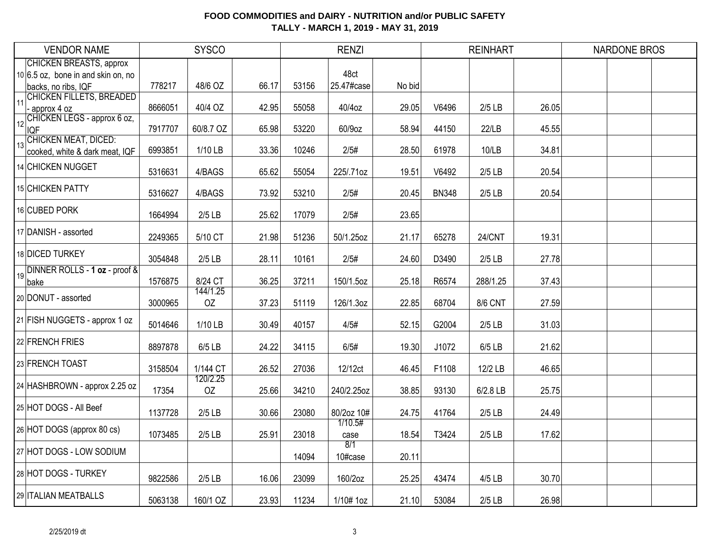|    | <b>VENDOR NAME</b>                                                                            |         | <b>SYSCO</b>   |       |       | <b>RENZI</b>       |        |              | <b>REINHART</b> |       | <b>NARDONE BROS</b> |  |
|----|-----------------------------------------------------------------------------------------------|---------|----------------|-------|-------|--------------------|--------|--------------|-----------------|-------|---------------------|--|
|    | <b>CHICKEN BREASTS, approx</b><br>$10 6.5$ oz, bone in and skin on, no<br>backs, no ribs, IQF | 778217  | 48/6 OZ        | 66.17 | 53156 | 48ct<br>25.47#case | No bid |              |                 |       |                     |  |
| 11 | <b>CHICKEN FILLETS, BREADED</b><br>approx 4 oz                                                | 8666051 | 40/4 OZ        | 42.95 | 55058 | 40/4oz             | 29.05  | V6496        | $2/5$ LB        | 26.05 |                     |  |
| 12 | CHICKEN LEGS - approx 6 oz,<br><b>IQF</b>                                                     | 7917707 | 60/8.7 OZ      | 65.98 | 53220 | 60/9oz             | 58.94  | 44150        | 22/LB           | 45.55 |                     |  |
| 13 | <b>CHICKEN MEAT, DICED:</b><br>cooked, white & dark meat, IQF                                 | 6993851 | 1/10 LB        | 33.36 | 10246 | 2/5#               | 28.50  | 61978        | 10/LB           | 34.81 |                     |  |
|    | 14 CHICKEN NUGGET                                                                             | 5316631 | 4/BAGS         | 65.62 | 55054 | 225/.71oz          | 19.51  | V6492        | $2/5$ LB        | 20.54 |                     |  |
|    | 15 CHICKEN PATTY                                                                              | 5316627 | 4/BAGS         | 73.92 | 53210 | 2/5#               | 20.45  | <b>BN348</b> | $2/5$ LB        | 20.54 |                     |  |
|    | 16 CUBED PORK                                                                                 | 1664994 | $2/5$ LB       | 25.62 | 17079 | 2/5#               | 23.65  |              |                 |       |                     |  |
|    | 17 DANISH - assorted                                                                          | 2249365 | 5/10 CT        | 21.98 | 51236 | 50/1.25oz          | 21.17  | 65278        | 24/CNT          | 19.31 |                     |  |
|    | 18 DICED TURKEY                                                                               | 3054848 | $2/5$ LB       | 28.11 | 10161 | 2/5#               | 24.60  | D3490        | $2/5$ LB        | 27.78 |                     |  |
| 19 | DINNER ROLLS - 1 oz - proof &<br>bake                                                         | 1576875 | 8/24 CT        | 36.25 | 37211 | 150/1.5oz          | 25.18  | R6574        | 288/1.25        | 37.43 |                     |  |
|    | 20 DONUT - assorted                                                                           | 3000965 | 144/1.25<br>OZ | 37.23 | 51119 | 126/1.3oz          | 22.85  | 68704        | 8/6 CNT         | 27.59 |                     |  |
|    | 21 FISH NUGGETS - approx 1 oz                                                                 | 5014646 | 1/10 LB        | 30.49 | 40157 | 4/5#               | 52.15  | G2004        | $2/5$ LB        | 31.03 |                     |  |
|    | 22 FRENCH FRIES                                                                               | 8897878 | $6/5$ LB       | 24.22 | 34115 | 6/5#               | 19.30  | J1072        | 6/5 LB          | 21.62 |                     |  |
|    | 23 FRENCH TOAST                                                                               | 3158504 | 1/144 CT       | 26.52 | 27036 | 12/12ct            | 46.45  | F1108        | 12/2 LB         | 46.65 |                     |  |
|    | 24 HASHBROWN - approx 2.25 oz                                                                 | 17354   | 120/2.25<br>OZ | 25.66 | 34210 | 240/2.25oz         | 38.85  | 93130        | 6/2.8 LB        | 25.75 |                     |  |
|    | 25 HOT DOGS - All Beef                                                                        | 1137728 | $2/5$ LB       | 30.66 | 23080 | 80/2oz 10#         | 24.75  | 41764        | $2/5$ LB        | 24.49 |                     |  |
|    | 26 HOT DOGS (approx 80 cs)                                                                    | 1073485 | $2/5$ LB       | 25.91 | 23018 | 1/10.5#<br>case    | 18.54  | T3424        | $2/5$ LB        | 17.62 |                     |  |
|    | 27 HOT DOGS - LOW SODIUM                                                                      |         |                |       | 14094 | 8/1<br>10#case     | 20.11  |              |                 |       |                     |  |
|    | 28 HOT DOGS - TURKEY                                                                          | 9822586 | $2/5$ LB       | 16.06 | 23099 | 160/2oz            | 25.25  | 43474        | 4/5 LB          | 30.70 |                     |  |
|    | 29 ITALIAN MEATBALLS                                                                          | 5063138 | 160/1 OZ       | 23.93 | 11234 | 1/10# 1oz          | 21.10  | 53084        | $2/5$ LB        | 26.98 |                     |  |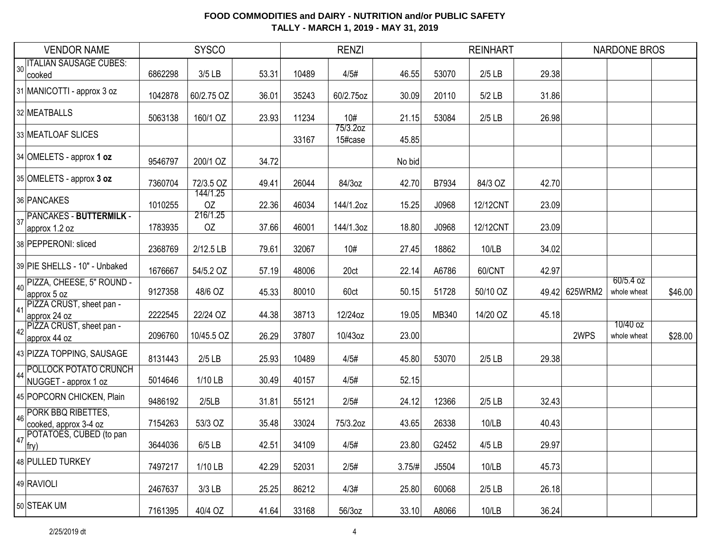|    | <b>VENDOR NAME</b>                            |         | <b>SYSCO</b>   |       |       | <b>RENZI</b>        |        |       | <b>REINHART</b> |               | <b>NARDONE BROS</b>        |         |
|----|-----------------------------------------------|---------|----------------|-------|-------|---------------------|--------|-------|-----------------|---------------|----------------------------|---------|
| 30 | <b>ITALIAN SAUSAGE CUBES:</b><br>cooked       | 6862298 | 3/5 LB         | 53.31 | 10489 | 4/5#                | 46.55  | 53070 | $2/5$ LB        | 29.38         |                            |         |
|    | 31 MANICOTTI - approx 3 oz                    | 1042878 | 60/2.75 OZ     | 36.01 | 35243 | 60/2.75oz           | 30.09  | 20110 | 5/2 LB          | 31.86         |                            |         |
|    | 32 MEATBALLS                                  | 5063138 | 160/1 OZ       | 23.93 | 11234 | 10#                 | 21.15  | 53084 | $2/5$ LB        | 26.98         |                            |         |
|    | 33 MEATLOAF SLICES                            |         |                |       | 33167 | 75/3.2oz<br>15#case | 45.85  |       |                 |               |                            |         |
|    | $34$ OMELETS - approx 1 oz                    | 9546797 | 200/1 OZ       | 34.72 |       |                     | No bid |       |                 |               |                            |         |
|    | 35 OMELETS - approx 3 oz                      | 7360704 | 72/3.5 OZ      | 49.41 | 26044 | 84/3oz              | 42.70  | B7934 | 84/3 OZ         | 42.70         |                            |         |
|    | 36 PANCAKES                                   | 1010255 | 144/1.25<br>OZ | 22.36 | 46034 | 144/1.2oz           | 15.25  | J0968 | 12/12CNT        | 23.09         |                            |         |
| 37 | PANCAKES - BUTTERMILK -<br>approx 1.2 oz      | 1783935 | 216/1.25<br>OZ | 37.66 | 46001 | 144/1.3oz           | 18.80  | J0968 | 12/12CNT        | 23.09         |                            |         |
|    | 38 PEPPERONI: sliced                          | 2368769 | 2/12.5 LB      | 79.61 | 32067 | 10#                 | 27.45  | 18862 | 10/LB           | 34.02         |                            |         |
|    | 39 PIE SHELLS - 10" - Unbaked                 | 1676667 | 54/5.2 OZ      | 57.19 | 48006 | 20ct                | 22.14  | A6786 | 60/CNT          | 42.97         |                            |         |
| 40 | PIZZA, CHEESE, 5" ROUND -<br>approx 5 oz      | 9127358 | 48/6 OZ        | 45.33 | 80010 | 60ct                | 50.15  | 51728 | 50/10 OZ        | 49.42 625WRM2 | $60/5.4$ oz<br>whole wheat | \$46.00 |
| 41 | PIZZA CRUST, sheet pan -<br>approx 24 oz      | 2222545 | 22/24 OZ       | 44.38 | 38713 | 12/24oz             | 19.05  | MB340 | 14/20 OZ        | 45.18         |                            |         |
| 42 | PIZZA CRUST, sheet pan -<br>approx 44 oz      | 2096760 | 10/45.5 OZ     | 26.29 | 37807 | 10/43oz             | 23.00  |       |                 | 2WPS          | 10/40 oz<br>whole wheat    | \$28.00 |
|    | 43 PIZZA TOPPING, SAUSAGE                     | 8131443 | $2/5$ LB       | 25.93 | 10489 | 4/5#                | 45.80  | 53070 | $2/5$ LB        | 29.38         |                            |         |
| 44 | POLLOCK POTATO CRUNCH<br>NUGGET - approx 1 oz | 5014646 | 1/10 LB        | 30.49 | 40157 | 4/5#                | 52.15  |       |                 |               |                            |         |
|    | 45 POPCORN CHICKEN, Plain                     | 9486192 | 2/5LB          | 31.81 | 55121 | 2/5#                | 24.12  | 12366 | $2/5$ LB        | 32.43         |                            |         |
| 46 | PORK BBQ RIBETTES,<br>cooked, approx 3-4 oz   | 7154263 | 53/3 OZ        | 35.48 | 33024 | 75/3.2oz            | 43.65  | 26338 | 10/LB           | 40.43         |                            |         |
| 47 | POTATOES, CUBED (to pan<br>fry)               | 3644036 | $6/5$ LB       | 42.51 | 34109 | 4/5#                | 23.80  | G2452 | 4/5 LB          | 29.97         |                            |         |
|    | 48 PULLED TURKEY                              | 7497217 | 1/10 LB        | 42.29 | 52031 | 2/5#                | 3.75/H | J5504 | 10/LB           | 45.73         |                            |         |
|    | 49 RAVIOLI                                    | 2467637 | $3/3$ LB       | 25.25 | 86212 | 4/3#                | 25.80  | 60068 | $2/5$ LB        | 26.18         |                            |         |
|    | 50 STEAK UM                                   | 7161395 | 40/4 OZ        | 41.64 | 33168 | 56/3oz              | 33.10  | A8066 | 10/LB           | 36.24         |                            |         |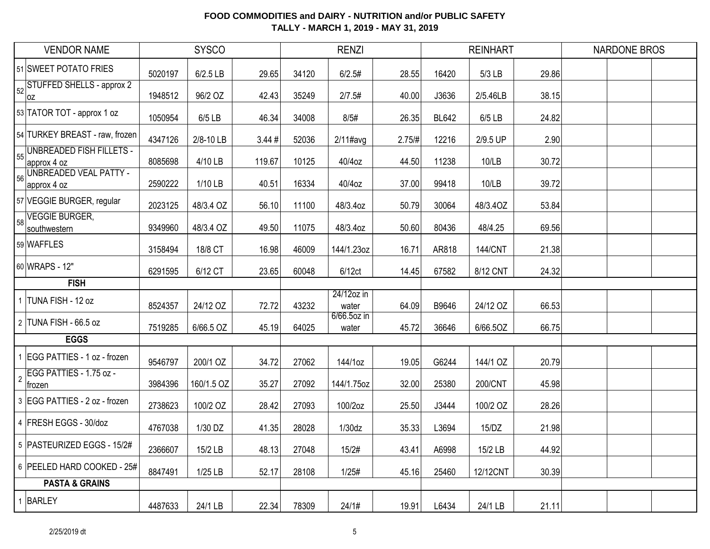| <b>VENDOR NAME</b>                                   |         | <b>SYSCO</b> |        |       | <b>RENZI</b>         |        |              | <b>REINHART</b> |       | <b>NARDONE BROS</b> |  |
|------------------------------------------------------|---------|--------------|--------|-------|----------------------|--------|--------------|-----------------|-------|---------------------|--|
| 51 SWEET POTATO FRIES                                | 5020197 | 6/2.5 LB     | 29.65  | 34120 | 6/2.5#               | 28.55  | 16420        | 5/3 LB          | 29.86 |                     |  |
| STUFFED SHELLS - approx 2<br>52<br> OZ               | 1948512 | 96/2 OZ      | 42.43  | 35249 | 2/7.5#               | 40.00  | J3636        | 2/5.46LB        | 38.15 |                     |  |
| 53 TATOR TOT - approx 1 oz                           | 1050954 | 6/5 LB       | 46.34  | 34008 | 8/5#                 | 26.35  | <b>BL642</b> | 6/5 LB          | 24.82 |                     |  |
| 54 TURKEY BREAST - raw, frozen                       | 4347126 | 2/8-10 LB    | 3.44#  | 52036 | $2/11$ #avg          | 2.75/H | 12216        | 2/9.5 UP        | 2.90  |                     |  |
| <b>UNBREADED FISH FILLETS -</b><br>55<br>approx 4 oz | 8085698 | 4/10 LB      | 119.67 | 10125 | 40/4oz               | 44.50  | 11238        | 10/LB           | 30.72 |                     |  |
| UNBREADED VEAL PATTY -<br>56<br>approx 4 oz          | 2590222 | 1/10 LB      | 40.51  | 16334 | 40/4oz               | 37.00  | 99418        | 10/LB           | 39.72 |                     |  |
| 57 VEGGIE BURGER, regular                            | 2023125 | 48/3.4 OZ    | 56.10  | 11100 | 48/3.4oz             | 50.79  | 30064        | 48/3.40Z        | 53.84 |                     |  |
| <b>VEGGIE BURGER,</b><br>58<br>southwestern          | 9349960 | 48/3.4 OZ    | 49.50  | 11075 | 48/3.4oz             | 50.60  | 80436        | 48/4.25         | 69.56 |                     |  |
| 59 WAFFLES                                           | 3158494 | 18/8 CT      | 16.98  | 46009 | 144/1.23oz           | 16.71  | AR818        | <b>144/CNT</b>  | 21.38 |                     |  |
| 60 WRAPS - 12"                                       | 6291595 | 6/12 CT      | 23.65  | 60048 | 6/12ct               | 14.45  | 67582        | 8/12 CNT        | 24.32 |                     |  |
|                                                      |         |              |        |       |                      |        |              |                 |       |                     |  |
| <b>FISH</b>                                          |         |              |        |       |                      |        |              |                 |       |                     |  |
| 1 TUNA FISH - 12 oz                                  | 8524357 | 24/12 OZ     | 72.72  | 43232 | 24/12oz in<br>water  | 64.09  | B9646        | 24/12 OZ        | 66.53 |                     |  |
| 2 TUNA FISH - 66.5 oz                                | 7519285 | 6/66.5 OZ    | 45.19  | 64025 | 6/66.5oz in<br>water | 45.72  | 36646        | 6/66.5OZ        | 66.75 |                     |  |
| <b>EGGS</b>                                          |         |              |        |       |                      |        |              |                 |       |                     |  |
| 1 EGG PATTIES - 1 oz - frozen                        | 9546797 | 200/1 OZ     | 34.72  | 27062 | 144/1oz              | 19.05  | G6244        | 144/1 OZ        | 20.79 |                     |  |
| EGG PATTIES - 1.75 oz -<br>$\overline{2}$<br>∣trozen | 3984396 | 160/1.5 OZ   | 35.27  | 27092 | 144/1.75oz           | 32.00  | 25380        | 200/CNT         | 45.98 |                     |  |
| 3 EGG PATTIES - 2 oz - frozen                        | 2738623 | 100/2 OZ     | 28.42  | 27093 | 100/2oz              | 25.50  | J3444        | 100/2 OZ        | 28.26 |                     |  |
| 4 FRESH EGGS - 30/doz                                | 4767038 | 1/30 DZ      | 41.35  | 28028 | 1/30dz               | 35.33  | L3694        | 15/DZ           | 21.98 |                     |  |
| 5 PASTEURIZED EGGS - 15/2#                           | 2366607 | 15/2 LB      | 48.13  | 27048 | 15/2#                | 43.41  | A6998        | 15/2 LB         | 44.92 |                     |  |
| 6 PEELED HARD COOKED - 25#                           | 8847491 | 1/25 LB      | 52.17  | 28108 | 1/25#                | 45.16  | 25460        | 12/12CNT        | 30.39 |                     |  |
| <b>PASTA &amp; GRAINS</b>                            |         |              |        |       |                      |        |              |                 |       |                     |  |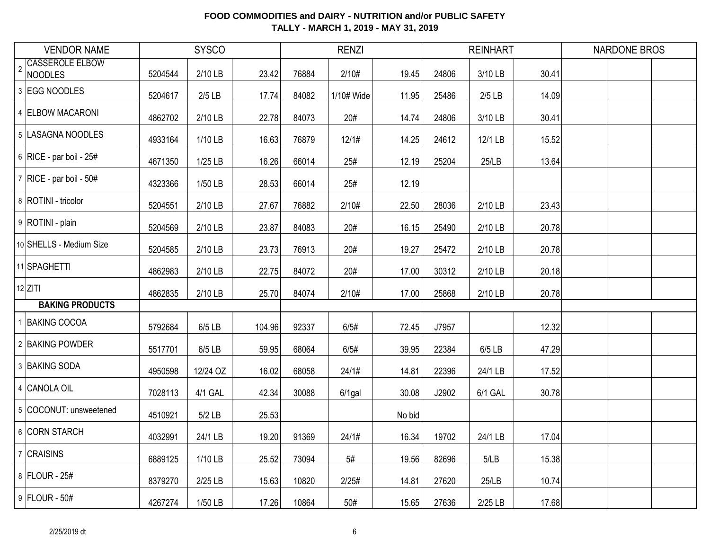|                | <b>VENDOR NAME</b>                |         | <b>SYSCO</b> |        |       | <b>RENZI</b> |        |       | <b>REINHART</b> |       | <b>NARDONE BROS</b> |  |
|----------------|-----------------------------------|---------|--------------|--------|-------|--------------|--------|-------|-----------------|-------|---------------------|--|
| $\overline{2}$ | <b>CASSEROLE ELBOW</b><br>NOODLES | 5204544 | 2/10 LB      | 23.42  | 76884 | 2/10#        | 19.45  | 24806 | 3/10 LB         | 30.41 |                     |  |
|                | 3 EGG NOODLES                     | 5204617 | $2/5$ LB     | 17.74  | 84082 | 1/10# Wide   | 11.95  | 25486 | $2/5$ LB        | 14.09 |                     |  |
|                | 4 ELBOW MACARONI                  | 4862702 | 2/10 LB      | 22.78  | 84073 | 20#          | 14.74  | 24806 | 3/10 LB         | 30.41 |                     |  |
|                | 5 LASAGNA NOODLES                 | 4933164 | 1/10 LB      | 16.63  | 76879 | 12/1#        | 14.25  | 24612 | 12/1 LB         | 15.52 |                     |  |
|                | 6 RICE - par boil - $25#$         | 4671350 | 1/25 LB      | 16.26  | 66014 | 25#          | 12.19  | 25204 | 25/LB           | 13.64 |                     |  |
|                | $7$ RICE - par boil - 50#         | 4323366 | 1/50 LB      | 28.53  | 66014 | 25#          | 12.19  |       |                 |       |                     |  |
|                | 8 ROTINI - tricolor               | 5204551 | 2/10 LB      | 27.67  | 76882 | 2/10#        | 22.50  | 28036 | 2/10 LB         | 23.43 |                     |  |
|                | 9 ROTINI - plain                  | 5204569 | 2/10 LB      | 23.87  | 84083 | 20#          | 16.15  | 25490 | 2/10 LB         | 20.78 |                     |  |
|                | 10 SHELLS - Medium Size           | 5204585 | 2/10 LB      | 23.73  | 76913 | 20#          | 19.27  | 25472 | 2/10 LB         | 20.78 |                     |  |
|                | 11 SPAGHETTI                      | 4862983 | 2/10 LB      | 22.75  | 84072 | 20#          | 17.00  | 30312 | 2/10 LB         | 20.18 |                     |  |
|                | $12$ ZITI                         | 4862835 | 2/10 LB      | 25.70  | 84074 | 2/10#        | 17.00  | 25868 | 2/10 LB         | 20.78 |                     |  |
|                | <b>BAKING PRODUCTS</b>            |         |              |        |       |              |        |       |                 |       |                     |  |
|                | 1 BAKING COCOA                    | 5792684 | 6/5 LB       | 104.96 | 92337 | 6/5#         | 72.45  | J7957 |                 | 12.32 |                     |  |
|                | 2 BAKING POWDER                   | 5517701 | 6/5 LB       | 59.95  | 68064 | 6/5#         | 39.95  | 22384 | $6/5$ LB        | 47.29 |                     |  |
|                | 3 BAKING SODA                     | 4950598 | 12/24 OZ     | 16.02  | 68058 | 24/1#        | 14.81  | 22396 | 24/1 LB         | 17.52 |                     |  |
|                | 4 CANOLA OIL                      | 7028113 | 4/1 GAL      | 42.34  | 30088 | $6/1$ gal    | 30.08  | J2902 | 6/1 GAL         | 30.78 |                     |  |
|                | 5 COCONUT: unsweetened            | 4510921 | $5/2$ LB     | 25.53  |       |              | No bid |       |                 |       |                     |  |
|                | 6 CORN STARCH                     | 4032991 | 24/1 LB      | 19.20  | 91369 | 24/1#        | 16.34  | 19702 | 24/1 LB         | 17.04 |                     |  |
|                | 7 CRAISINS                        | 6889125 | 1/10 LB      | 25.52  | 73094 | 5#           | 19.56  | 82696 | 5/LB            | 15.38 |                     |  |
|                | 8 FLOUR - 25#                     | 8379270 | 2/25 LB      | 15.63  | 10820 | 2/25#        | 14.81  | 27620 | 25/LB           | 10.74 |                     |  |
|                | 9 FLOUR - 50#                     | 4267274 | 1/50 LB      | 17.26  | 10864 | 50#          | 15.65  | 27636 | 2/25 LB         | 17.68 |                     |  |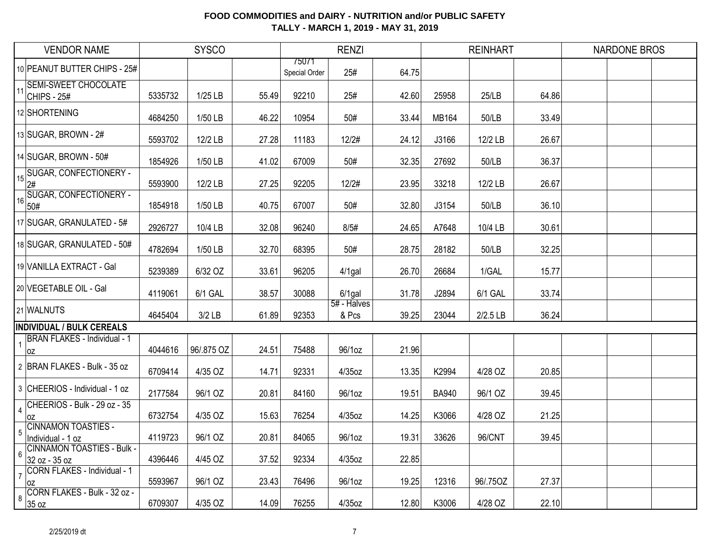|                | <b>VENDOR NAME</b>                                 |         | <b>SYSCO</b> |       |                        | <b>RENZI</b>         |       |              | <b>REINHART</b> |       | <b>NARDONE BROS</b> |  |
|----------------|----------------------------------------------------|---------|--------------|-------|------------------------|----------------------|-------|--------------|-----------------|-------|---------------------|--|
|                | 10 PEANUT BUTTER CHIPS - 25#                       |         |              |       | 75071<br>Special Order | 25#                  | 64.75 |              |                 |       |                     |  |
| 11             | <b>SEMI-SWEET CHOCOLATE</b><br><b>CHIPS - 25#</b>  | 5335732 | 1/25 LB      | 55.49 | 92210                  | 25#                  | 42.60 | 25958        | 25/LB           | 64.86 |                     |  |
|                | 12 SHORTENING                                      | 4684250 | 1/50 LB      | 46.22 | 10954                  | 50#                  | 33.44 | <b>MB164</b> | 50/LB           | 33.49 |                     |  |
|                | 13 SUGAR, BROWN - 2#                               | 5593702 | 12/2 LB      | 27.28 | 11183                  | 12/2#                | 24.12 | J3166        | 12/2 LB         | 26.67 |                     |  |
|                | 14 SUGAR, BROWN - 50#                              | 1854926 | 1/50 LB      | 41.02 | 67009                  | 50#                  | 32.35 | 27692        | 50/LB           | 36.37 |                     |  |
| 15             | <b>SUGAR, CONFECTIONERY -</b><br>2#                | 5593900 | 12/2 LB      | 27.25 | 92205                  | 12/2#                | 23.95 | 33218        | 12/2 LB         | 26.67 |                     |  |
| 16             | <b>SUGAR, CONFECTIONERY -</b><br>50#               | 1854918 | 1/50 LB      | 40.75 | 67007                  | 50#                  | 32.80 | J3154        | 50/LB           | 36.10 |                     |  |
|                | 17 SUGAR, GRANULATED - 5#                          | 2926727 | 10/4 LB      | 32.08 | 96240                  | 8/5#                 | 24.65 | A7648        | 10/4 LB         | 30.61 |                     |  |
|                | 18 SUGAR, GRANULATED - 50#                         | 4782694 | 1/50 LB      | 32.70 | 68395                  | 50#                  | 28.75 | 28182        | 50/LB           | 32.25 |                     |  |
|                | 19 VANILLA EXTRACT - Gal                           | 5239389 | 6/32 OZ      | 33.61 | 96205                  | $4/1$ gal            | 26.70 | 26684        | 1/GAL           | 15.77 |                     |  |
|                | 20 VEGETABLE OIL - Gal                             | 4119061 | 6/1 GAL      | 38.57 | 30088                  | $6/1$ gal            | 31.78 | J2894        | 6/1 GAL         | 33.74 |                     |  |
|                | 21 WALNUTS                                         | 4645404 | $3/2$ LB     | 61.89 | 92353                  | 5# - Halves<br>& Pcs | 39.25 | 23044        | $2/2.5$ LB      | 36.24 |                     |  |
|                | <b>INDIVIDUAL / BULK CEREALS</b>                   |         |              |       |                        |                      |       |              |                 |       |                     |  |
|                | <b>BRAN FLAKES - Individual - 1</b><br>loz         | 4044616 | 96/.875 OZ   | 24.51 | 75488                  | 96/1oz               | 21.96 |              |                 |       |                     |  |
|                | 2 BRAN FLAKES - Bulk - 35 oz                       | 6709414 | 4/35 OZ      | 14.71 | 92331                  | 4/35oz               | 13.35 | K2994        | 4/28 OZ         | 20.85 |                     |  |
|                | 3 CHEERIOS - Individual - 1 oz                     | 2177584 | 96/1 OZ      | 20.81 | 84160                  | 96/1oz               | 19.51 | <b>BA940</b> | 96/1 OZ         | 39.45 |                     |  |
|                | CHEERIOS - Bulk - 29 oz - 35<br>0Z                 | 6732754 | 4/35 OZ      | 15.63 | 76254                  | 4/35oz               | 14.25 | K3066        | 4/28 OZ         | 21.25 |                     |  |
| 5              | <b>CINNAMON TOASTIES -</b><br>Individual - 1 oz    | 4119723 | 96/1 OZ      | 20.81 | 84065                  | 96/1oz               | 19.31 | 33626        | 96/CNT          | 39.45 |                     |  |
| 6              | <b>CINNAMON TOASTIES - Bulk -</b><br>32 oz - 35 oz | 4396446 | 4/45 OZ      | 37.52 | 92334                  | 4/35oz               | 22.85 |              |                 |       |                     |  |
| $\overline{7}$ | <b>CORN FLAKES - Individual - 1</b><br>0Z          | 5593967 | 96/1 OZ      | 23.43 | 76496                  | 96/1oz               | 19.25 | 12316        | 96/.75OZ        | 27.37 |                     |  |
| 8              | CORN FLAKES - Bulk - 32 oz -<br>35 oz              | 6709307 | 4/35 OZ      | 14.09 | 76255                  | 4/35oz               | 12.80 | K3006        | 4/28 OZ         | 22.10 |                     |  |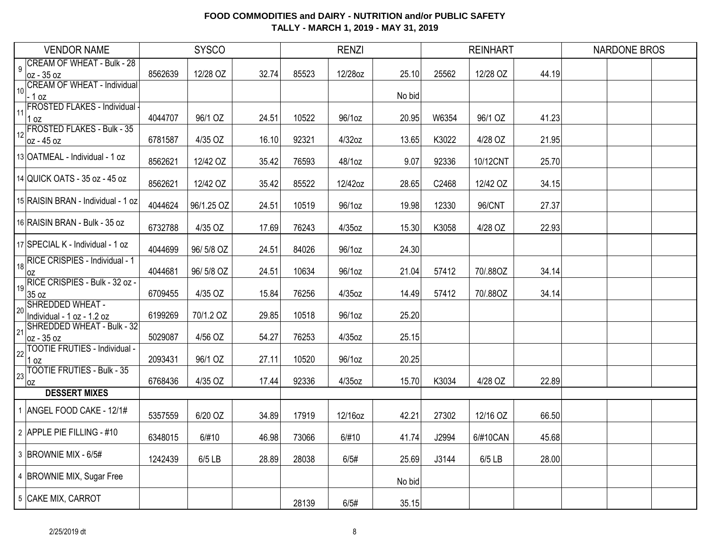|    | <b>VENDOR NAME</b>                                |         | <b>SYSCO</b> |       |       | <b>RENZI</b> |        |       | <b>REINHART</b> |       | <b>NARDONE BROS</b> |  |
|----|---------------------------------------------------|---------|--------------|-------|-------|--------------|--------|-------|-----------------|-------|---------------------|--|
| 9  | <b>CREAM OF WHEAT - Bulk - 28</b>                 |         |              |       |       |              |        |       |                 |       |                     |  |
|    | loz - 35 oz<br><b>CREAM OF WHEAT - Individual</b> | 8562639 | 12/28 OZ     | 32.74 | 85523 | 12/28oz      | 25.10  | 25562 | 12/28 OZ        | 44.19 |                     |  |
| 10 | $-1$ oz                                           |         |              |       |       |              | No bid |       |                 |       |                     |  |
| 11 | FROSTED FLAKES - Individual -                     |         |              |       |       |              |        |       |                 |       |                     |  |
|    | 1 oz<br><b>FROSTED FLAKES - Bulk - 35</b>         | 4044707 | 96/1 OZ      | 24.51 | 10522 | 96/1oz       | 20.95  | W6354 | 96/1 OZ         | 41.23 |                     |  |
| 12 | oz - 45 oz                                        | 6781587 | 4/35 OZ      | 16.10 | 92321 | 4/32oz       | 13.65  | K3022 | 4/28 OZ         | 21.95 |                     |  |
|    | 13 OATMEAL - Individual - 1 oz                    | 8562621 | 12/42 OZ     | 35.42 | 76593 | 48/1oz       | 9.07   | 92336 | 10/12CNT        | 25.70 |                     |  |
|    | 14 QUICK OATS - 35 oz - 45 oz                     | 8562621 | 12/42 OZ     | 35.42 | 85522 | 12/42oz      | 28.65  | C2468 | 12/42 OZ        | 34.15 |                     |  |
|    | 15 RAISIN BRAN - Individual - 1 oz                | 4044624 | 96/1.25 OZ   | 24.51 | 10519 | 96/1oz       | 19.98  | 12330 | 96/CNT          | 27.37 |                     |  |
|    | 16 RAISIN BRAN - Bulk - 35 oz                     | 6732788 | 4/35 OZ      | 17.69 | 76243 | 4/35oz       | 15.30  | K3058 | 4/28 OZ         | 22.93 |                     |  |
|    | 17 SPECIAL K - Individual - 1 oz                  | 4044699 | 96/5/8 OZ    | 24.51 | 84026 | 96/1oz       | 24.30  |       |                 |       |                     |  |
| 18 | RICE CRISPIES - Individual - 1<br>0Z              | 4044681 | 96/5/8 OZ    | 24.51 | 10634 | 96/1oz       | 21.04  | 57412 | 70/.88OZ        | 34.14 |                     |  |
| 19 | RICE CRISPIES - Bulk - 32 oz -<br>35 oz           | 6709455 | 4/35 OZ      | 15.84 | 76256 | 4/35oz       | 14.49  | 57412 | 70/.88OZ        | 34.14 |                     |  |
| 20 | SHREDDED WHEAT -<br>Individual - 1 oz - 1.2 oz    | 6199269 | 70/1.2 OZ    | 29.85 | 10518 | 96/1oz       | 25.20  |       |                 |       |                     |  |
| 21 | SHREDDED WHEAT - Bulk - 32<br>loz - 35 oz         | 5029087 | 4/56 OZ      | 54.27 | 76253 | 4/35oz       | 25.15  |       |                 |       |                     |  |
| 22 | <b>TOOTIE FRUTIES - Individual -</b><br>0Z        | 2093431 | 96/1 OZ      | 27.11 | 10520 | 96/1oz       | 20.25  |       |                 |       |                     |  |
| 23 | <b>TOOTIE FRUTIES - Bulk - 35</b><br>0Z           | 6768436 | 4/35 OZ      | 17.44 | 92336 | 4/35oz       | 15.70  | K3034 | 4/28 OZ         | 22.89 |                     |  |
|    | <b>DESSERT MIXES</b>                              |         |              |       |       |              |        |       |                 |       |                     |  |
|    | 1 ANGEL FOOD CAKE - 12/1#                         | 5357559 | 6/20 OZ      | 34.89 | 17919 | 12/16oz      | 42.21  | 27302 | 12/16 OZ        | 66.50 |                     |  |
|    | 2 APPLE PIE FILLING - #10                         | 6348015 | 6/#10        | 46.98 | 73066 | 6/#10        | 41.74  | J2994 | 6/#10CAN        | 45.68 |                     |  |
|    | 3 BROWNIE MIX - 6/5#                              | 1242439 | $6/5$ LB     | 28.89 | 28038 | 6/5#         | 25.69  | J3144 | 6/5 LB          | 28.00 |                     |  |
|    | 4 BROWNIE MIX, Sugar Free                         |         |              |       |       |              | No bid |       |                 |       |                     |  |
|    | 5 CAKE MIX, CARROT                                |         |              |       | 28139 | 6/5#         | 35.15  |       |                 |       |                     |  |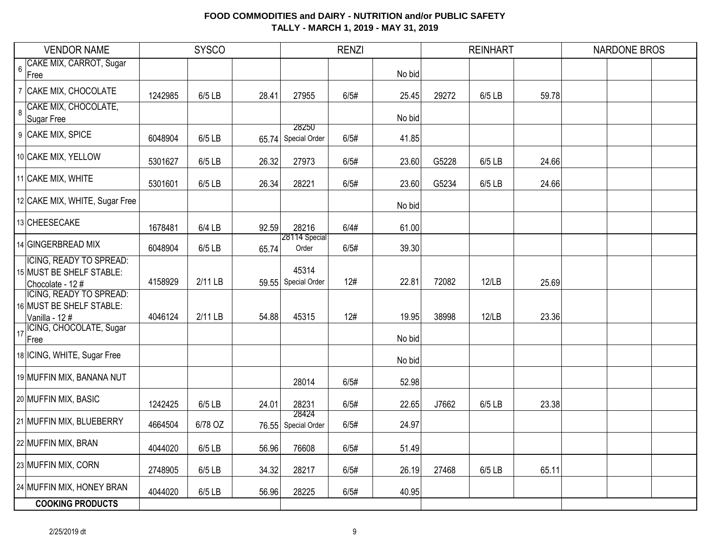|                | <b>VENDOR NAME</b>                                                             |         | <b>SYSCO</b> |       |                              | <b>RENZI</b> |        |       | <b>REINHART</b> |       | <b>NARDONE BROS</b> |
|----------------|--------------------------------------------------------------------------------|---------|--------------|-------|------------------------------|--------------|--------|-------|-----------------|-------|---------------------|
| $6\phantom{a}$ | CAKE MIX, CARROT, Sugar<br>Free                                                |         |              |       |                              |              | No bid |       |                 |       |                     |
|                | 7 CAKE MIX, CHOCOLATE                                                          | 1242985 | 6/5 LB       | 28.41 | 27955                        | 6/5#         | 25.45  | 29272 | 6/5 LB          | 59.78 |                     |
| $\bf{8}$       | CAKE MIX, CHOCOLATE,<br>Sugar Free                                             |         |              |       |                              |              | No bid |       |                 |       |                     |
|                | 9 CAKE MIX, SPICE                                                              | 6048904 | $6/5$ LB     |       | 28250<br>65.74 Special Order | 6/5#         | 41.85  |       |                 |       |                     |
|                | 10 CAKE MIX, YELLOW                                                            | 5301627 | $6/5$ LB     | 26.32 | 27973                        | 6/5#         | 23.60  | G5228 | 6/5 LB          | 24.66 |                     |
|                | 11 CAKE MIX, WHITE                                                             | 5301601 | $6/5$ LB     | 26.34 | 28221                        | 6/5#         | 23.60  | G5234 | 6/5 LB          | 24.66 |                     |
|                | 12 CAKE MIX, WHITE, Sugar Free                                                 |         |              |       |                              |              | No bid |       |                 |       |                     |
|                | 13 CHEESECAKE                                                                  | 1678481 | $6/4$ LB     | 92.59 | 28216                        | 6/4#         | 61.00  |       |                 |       |                     |
|                | 14 GINGERBREAD MIX                                                             | 6048904 | $6/5$ LB     | 65.74 | 28114 Special<br>Order       | 6/5#         | 39.30  |       |                 |       |                     |
|                | <b>ICING, READY TO SPREAD:</b><br>15 MUST BE SHELF STABLE:<br>Chocolate - 12 # | 4158929 | 2/11 LB      |       | 45314<br>59.55 Special Order | 12#          | 22.81  | 72082 | 12/LB           | 25.69 |                     |
|                | <b>ICING, READY TO SPREAD:</b><br>16 MUST BE SHELF STABLE:<br>Vanilla - 12#    | 4046124 | 2/11 LB      | 54.88 | 45315                        | 12#          | 19.95  | 38998 | 12/LB           | 23.36 |                     |
| 17             | ICING, CHOCOLATE, Sugar<br>Free                                                |         |              |       |                              |              | No bid |       |                 |       |                     |
|                | 18 ICING, WHITE, Sugar Free                                                    |         |              |       |                              |              | No bid |       |                 |       |                     |
|                | 19 MUFFIN MIX, BANANA NUT                                                      |         |              |       | 28014                        | 6/5#         | 52.98  |       |                 |       |                     |
|                | 20 MUFFIN MIX, BASIC                                                           | 1242425 | $6/5$ LB     | 24.01 | 28231                        | 6/5#         | 22.65  | J7662 | 6/5 LB          | 23.38 |                     |
|                | 21 MUFFIN MIX, BLUEBERRY                                                       | 4664504 | 6/78 OZ      |       | 28424<br>76.55 Special Order | 6/5#         | 24.97  |       |                 |       |                     |
|                | 22 MUFFIN MIX, BRAN                                                            | 4044020 | 6/5 LB       | 56.96 | 76608                        | 6/5#         | 51.49  |       |                 |       |                     |
|                | 23 MUFFIN MIX, CORN                                                            | 2748905 | 6/5 LB       | 34.32 | 28217                        | 6/5#         | 26.19  | 27468 | 6/5 LB          | 65.11 |                     |
|                | 24 MUFFIN MIX, HONEY BRAN                                                      | 4044020 | 6/5 LB       | 56.96 | 28225                        | 6/5#         | 40.95  |       |                 |       |                     |
|                | <b>COOKING PRODUCTS</b>                                                        |         |              |       |                              |              |        |       |                 |       |                     |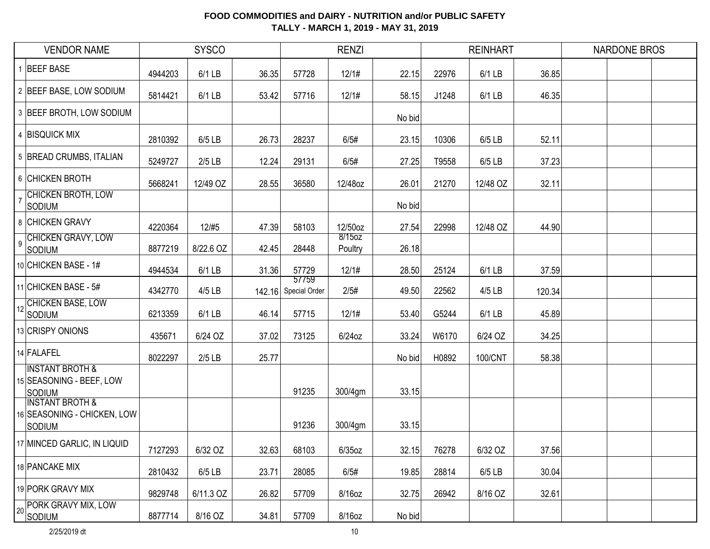|    | <b>VENDOR NAME</b>                                                      |         | <b>SYSCO</b> |       |                               | <b>RENZI</b>      |        |       | <b>REINHART</b> |        | <b>NARDONE BROS</b> |  |
|----|-------------------------------------------------------------------------|---------|--------------|-------|-------------------------------|-------------------|--------|-------|-----------------|--------|---------------------|--|
|    | <b>BEEF BASE</b>                                                        | 4944203 | 6/1 LB       | 36.35 | 57728                         | 12/1#             | 22.15  | 22976 | 6/1 LB          | 36.85  |                     |  |
|    | 2 BEEF BASE, LOW SODIUM                                                 | 5814421 | 6/1 LB       | 53.42 | 57716                         | 12/1#             | 58.15  | J1248 | 6/1 LB          | 46.35  |                     |  |
|    | 3 BEEF BROTH, LOW SODIUM                                                |         |              |       |                               |                   | No bid |       |                 |        |                     |  |
|    | 4 BISQUICK MIX                                                          | 2810392 | 6/5 LB       | 26.73 | 28237                         | 6/5#              | 23.15  | 10306 | 6/5 LB          | 52.11  |                     |  |
|    | 5 BREAD CRUMBS, ITALIAN                                                 | 5249727 | $2/5$ LB     | 12.24 | 29131                         | 6/5#              | 27.25  | T9558 | 6/5 LB          | 37.23  |                     |  |
|    | 6 CHICKEN BROTH                                                         | 5668241 | 12/49 OZ     | 28.55 | 36580                         | 12/48oz           | 26.01  | 21270 | 12/48 OZ        | 32.11  |                     |  |
|    | CHICKEN BROTH, LOW<br><b>SODIUM</b>                                     |         |              |       |                               |                   | No bid |       |                 |        |                     |  |
|    | 8 CHICKEN GRAVY                                                         | 4220364 | 12/#5        | 47.39 | 58103                         | 12/50oz           | 27.54  | 22998 | 12/48 OZ        | 44.90  |                     |  |
| 9  | <b>CHICKEN GRAVY, LOW</b><br>SODIUM                                     | 8877219 | 8/22.6 OZ    | 42.45 | 28448                         | 8/15oz<br>Poultry | 26.18  |       |                 |        |                     |  |
|    | 10 CHICKEN BASE - 1#                                                    | 4944534 | 6/1 LB       | 31.36 | 57729                         | 12/1#             | 28.50  | 25124 | 6/1 LB          | 37.59  |                     |  |
|    | 11 CHICKEN BASE - 5#                                                    | 4342770 | 4/5 LB       |       | 57759<br>142.16 Special Order | 2/5#              | 49.50  | 22562 | 4/5 LB          | 120.34 |                     |  |
| 12 | <b>CHICKEN BASE, LOW</b><br>Sodium                                      | 6213359 | 6/1 LB       | 46.14 | 57715                         | 12/1#             | 53.40  | G5244 | 6/1 LB          | 45.89  |                     |  |
|    | 13 CRISPY ONIONS                                                        | 435671  | 6/24 OZ      | 37.02 | 73125                         | $6/24$ oz         | 33.24  | W6170 | 6/24 OZ         | 34.25  |                     |  |
|    | 14 FALAFEL                                                              | 8022297 | $2/5$ LB     | 25.77 |                               |                   | No bid | H0892 | 100/CNT         | 58.38  |                     |  |
|    | <b>INSTANT BROTH &amp;</b><br>15 SEASONING - BEEF, LOW<br><b>SODIUM</b> |         |              |       | 91235                         | 300/4gm           | 33.15  |       |                 |        |                     |  |
|    | <b>INSTANT BROTH &amp;</b><br>16 SEASONING - CHICKEN, LOW<br>Sodium     |         |              |       | 91236                         | 300/4gm           | 33.15  |       |                 |        |                     |  |
|    | 17 MINCED GARLIC, IN LIQUID                                             | 7127293 | 6/32 OZ      | 32.63 | 68103                         | $6/35$ oz         | 32.15  | 76278 | 6/32 OZ         | 37.56  |                     |  |
|    | 18 PANCAKE MIX                                                          | 2810432 | $6/5$ LB     | 23.71 | 28085                         | 6/5#              | 19.85  | 28814 | 6/5 LB          | 30.04  |                     |  |
|    | 19 PORK GRAVY MIX                                                       | 9829748 | 6/11.3 OZ    | 26.82 | 57709                         | 8/16oz            | 32.75  | 26942 | 8/16 OZ         | 32.61  |                     |  |
| 20 | PORK GRAVY MIX, LOW<br><b>SODIUM</b>                                    | 8877714 | 8/16 OZ      | 34.81 | 57709                         | 8/16oz            | No bid |       |                 |        |                     |  |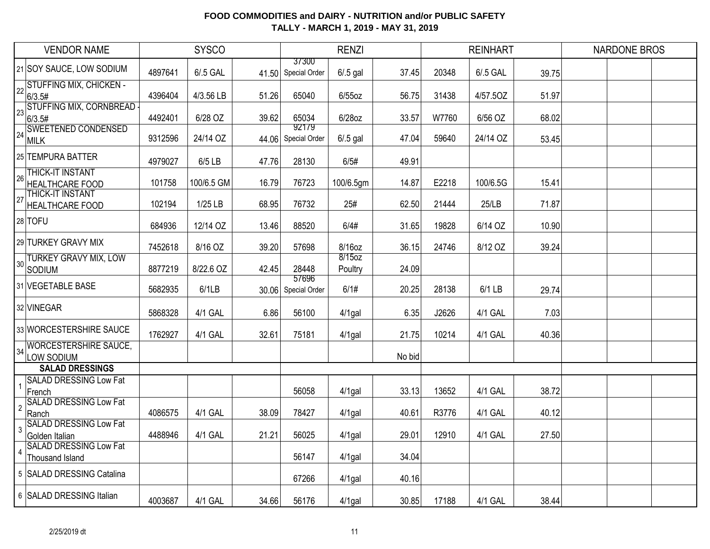|                | <b>VENDOR NAME</b>                               |         | <b>SYSCO</b> |       |                              | <b>RENZI</b>      |        |       | <b>REINHART</b> |       | <b>NARDONE BROS</b> |  |
|----------------|--------------------------------------------------|---------|--------------|-------|------------------------------|-------------------|--------|-------|-----------------|-------|---------------------|--|
|                | 21 SOY SAUCE, LOW SODIUM                         | 4897641 | 6/.5 GAL     |       | 37300<br>41.50 Special Order | $6/0.5$ gal       | 37.45  | 20348 | 6/.5 GAL        | 39.75 |                     |  |
|                | 22 STUFFING MIX, CHICKEN -<br>6/3.5#             | 4396404 | 4/3.56 LB    | 51.26 | 65040                        | $6/55$ oz         | 56.75  | 31438 | 4/57.50Z        | 51.97 |                     |  |
| 23             | <b>STUFFING MIX, CORNBREAD</b><br>6/3.5#         | 4492401 | 6/28 OZ      | 39.62 | 65034                        | 6/28oz            | 33.57  | W7760 | 6/56 OZ         | 68.02 |                     |  |
| 24             | <b>SWEETENED CONDENSED</b><br>MILK               | 9312596 | 24/14 OZ     | 44.06 | 92179<br>Special Order       | $6/0.5$ gal       | 47.04  | 59640 | 24/14 OZ        | 53.45 |                     |  |
|                | 25 TEMPURA BATTER                                | 4979027 | $6/5$ LB     | 47.76 | 28130                        | 6/5#              | 49.91  |       |                 |       |                     |  |
| 26             | <b>THICK-IT INSTANT</b><br>HEALTHCARE FOOD       | 101758  | 100/6.5 GM   | 16.79 | 76723                        | 100/6.5gm         | 14.87  | E2218 | 100/6.5G        | 15.41 |                     |  |
| 27             | <b>THICK-IT INSTANT</b><br>HEALTHCARE FOOD       | 102194  | 1/25 LB      | 68.95 | 76732                        | 25#               | 62.50  | 21444 | 25/LB           | 71.87 |                     |  |
|                | 28 TOFU                                          | 684936  | 12/14 OZ     | 13.46 | 88520                        | 6/4#              | 31.65  | 19828 | 6/14 OZ         | 10.90 |                     |  |
|                | 29 TURKEY GRAVY MIX                              | 7452618 | 8/16 OZ      | 39.20 | 57698                        | 8/16oz            | 36.15  | 24746 | 8/12 OZ         | 39.24 |                     |  |
| $30$           | <b>TURKEY GRAVY MIX, LOW</b><br>SODIUM           | 8877219 | 8/22.6 OZ    | 42.45 | 28448                        | 8/15oz<br>Poultry | 24.09  |       |                 |       |                     |  |
|                | 31 VEGETABLE BASE                                | 5682935 | 6/1LB        | 30.06 | 57696<br>Special Order       | 6/1#              | 20.25  | 28138 | 6/1 LB          | 29.74 |                     |  |
|                | 32 VINEGAR                                       | 5868328 | 4/1 GAL      | 6.86  | 56100                        | $4/1$ gal         | 6.35   | J2626 | 4/1 GAL         | 7.03  |                     |  |
|                | 33 WORCESTERSHIRE SAUCE                          | 1762927 | 4/1 GAL      | 32.61 | 75181                        | 4/1gal            | 21.75  | 10214 | 4/1 GAL         | 40.36 |                     |  |
| 34             | <b>WORCESTERSHIRE SAUCE,</b><br>LOW SODIUM       |         |              |       |                              |                   | No bid |       |                 |       |                     |  |
|                | <b>SALAD DRESSINGS</b>                           |         |              |       |                              |                   |        |       |                 |       |                     |  |
|                | <b>SALAD DRESSING Low Fat</b><br>French          |         |              |       | 56058                        | $4/1$ gal         | 33.13  | 13652 | 4/1 GAL         | 38.72 |                     |  |
| $\overline{2}$ | <b>SALAD DRESSING Low Fat</b><br>Ranch           | 4086575 | 4/1 GAL      | 38.09 | 78427                        | $4/1$ gal         | 40.61  | R3776 | 4/1 GAL         | 40.12 |                     |  |
| 3              | <b>SALAD DRESSING Low Fat</b><br>Golden Italian  | 4488946 | 4/1 GAL      | 21.21 | 56025                        | $4/1$ gal         | 29.01  | 12910 | 4/1 GAL         | 27.50 |                     |  |
| $\overline{4}$ | <b>SALAD DRESSING Low Fat</b><br>Thousand Island |         |              |       | 56147                        | $4/1$ gal         | 34.04  |       |                 |       |                     |  |
|                | 5 SALAD DRESSING Catalina                        |         |              |       | 67266                        | $4/1$ gal         | 40.16  |       |                 |       |                     |  |
|                | 6 SALAD DRESSING Italian                         | 4003687 | 4/1 GAL      | 34.66 | 56176                        | $4/1$ gal         | 30.85  | 17188 | 4/1 GAL         | 38.44 |                     |  |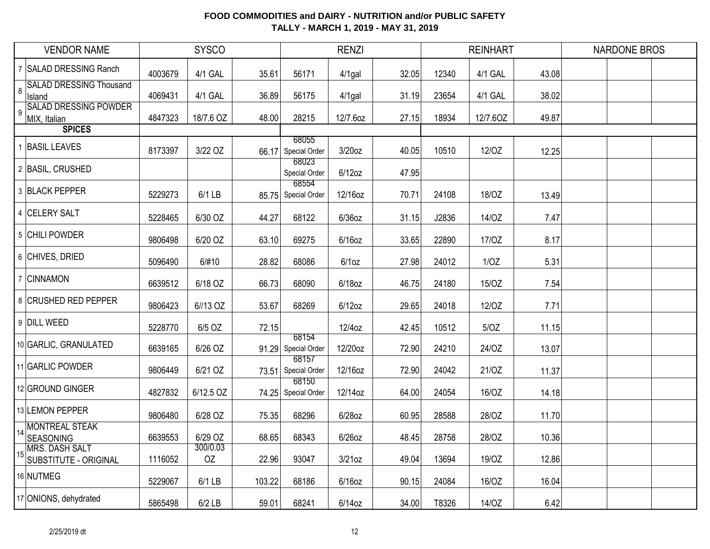|    | <b>VENDOR NAME</b>                             |         | <b>SYSCO</b>   |        |                              | <b>RENZI</b> |       |       | <b>REINHART</b> |       | <b>NARDONE BROS</b> |  |
|----|------------------------------------------------|---------|----------------|--------|------------------------------|--------------|-------|-------|-----------------|-------|---------------------|--|
|    | 7 SALAD DRESSING Ranch                         | 4003679 | 4/1 GAL        | 35.61  | 56171                        | $4/1$ gal    | 32.05 | 12340 | 4/1 GAL         | 43.08 |                     |  |
| 8  | <b>SALAD DRESSING Thousand</b><br>Island       | 4069431 | 4/1 GAL        | 36.89  | 56175                        | $4/1$ gal    | 31.19 | 23654 | 4/1 GAL         | 38.02 |                     |  |
|    | <b>SALAD DRESSING POWDER</b><br>MIX, Italian   | 4847323 | 18/7.6 OZ      | 48.00  | 28215                        | 12/7.6oz     | 27.15 | 18934 | 12/7.60Z        | 49.87 |                     |  |
|    | <b>SPICES</b>                                  |         |                |        |                              |              |       |       |                 |       |                     |  |
|    | 1 BASIL LEAVES                                 | 8173397 | 3/22 OZ        |        | 68055<br>66.17 Special Order | $3/20$ oz    | 40.05 | 10510 | 12/OZ           | 12.25 |                     |  |
|    | 2 BASIL, CRUSHED                               |         |                |        | 68023<br>Special Order       | $6/12$ oz    | 47.95 |       |                 |       |                     |  |
|    | 3 BLACK PEPPER                                 | 5229273 | 6/1 LB         |        | 68554<br>85.75 Special Order | 12/16oz      | 70.71 | 24108 | 18/OZ           | 13.49 |                     |  |
|    | 4 CELERY SALT                                  | 5228465 | 6/30 OZ        | 44.27  | 68122                        | $6/36$ oz    | 31.15 | J2836 | 14/OZ           | 7.47  |                     |  |
|    | 5 CHILI POWDER                                 | 9806498 | 6/20 OZ        | 63.10  | 69275                        | $6/16$ oz    | 33.65 | 22890 | 17/0Z           | 8.17  |                     |  |
|    | 6 CHIVES, DRIED                                | 5096490 | 6/#10          | 28.82  | 68086                        | $6/1$ oz     | 27.98 | 24012 | 1/OZ            | 5.31  |                     |  |
|    | 7 CINNAMON                                     | 6639512 | 6/18 OZ        | 66.73  | 68090                        | 6/18oz       | 46.75 | 24180 | 15/OZ           | 7.54  |                     |  |
|    | 8 CRUSHED RED PEPPER                           | 9806423 | 6//13 OZ       | 53.67  | 68269                        | $6/12$ oz    | 29.65 | 24018 | 12/OZ           | 7.71  |                     |  |
|    | 9 DILL WEED                                    | 5228770 | 6/5 OZ         | 72.15  | 68154                        | 12/4oz       | 42.45 | 10512 | 5/0Z            | 11.15 |                     |  |
|    | 10 GARLIC, GRANULATED                          | 6639165 | 6/26 OZ        |        | 91.29 Special Order<br>68157 | 12/20oz      | 72.90 | 24210 | 24/OZ           | 13.07 |                     |  |
|    | 11 GARLIC POWDER                               | 9806449 | 6/21 OZ        |        | 73.51 Special Order          | 12/16oz      | 72.90 | 24042 | 21/0Z           | 11.37 |                     |  |
|    | 12 GROUND GINGER                               | 4827832 | 6/12.5 OZ      |        | 68150<br>74.25 Special Order | 12/14oz      | 64.00 | 24054 | 16/OZ           | 14.18 |                     |  |
|    | 13 LEMON PEPPER                                | 9806480 | 6/28 OZ        | 75.35  | 68296                        | 6/28oz       | 60.95 | 28588 | 28/OZ           | 11.70 |                     |  |
| 14 | <b>MONTREAL STEAK</b><br>SEASONING             | 6639553 | 6/29 OZ        | 68.65  | 68343                        | 6/26oz       | 48.45 | 28758 | 28/OZ           | 10.36 |                     |  |
|    | <b>MRS. DASH SALT</b><br>SUBSTITUTE - ORIGINAL | 1116052 | 300/0.03<br>OZ | 22.96  | 93047                        | 3/21oz       | 49.04 | 13694 | 19/OZ           | 12.86 |                     |  |
|    | 16 NUTMEG                                      | 5229067 | $6/1$ LB       | 103.22 | 68186                        | $6/16$ oz    | 90.15 | 24084 | 16/OZ           | 16.04 |                     |  |
|    | 17 ONIONS, dehydrated                          | 5865498 | $6/2$ LB       | 59.01  | 68241                        | 6/14oz       | 34.00 | T8326 | 14/OZ           | 6.42  |                     |  |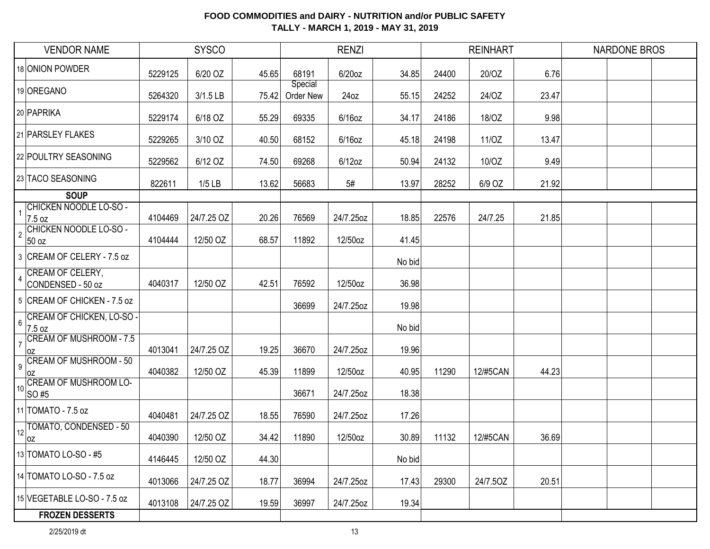| <b>VENDOR NAME</b>                                       |         | <b>SYSCO</b> |       |                      | <b>RENZI</b> |        |       | <b>REINHART</b> |       | <b>NARDONE BROS</b> |  |
|----------------------------------------------------------|---------|--------------|-------|----------------------|--------------|--------|-------|-----------------|-------|---------------------|--|
| 18 ONION POWDER                                          | 5229125 | 6/20 OZ      | 45.65 | 68191                | 6/20oz       | 34.85  | 24400 | 20/OZ           | 6.76  |                     |  |
| 19 OREGANO                                               | 5264320 | 3/1.5 LB     | 75.42 | Special<br>Order New | 24oz         | 55.15  | 24252 | 24/OZ           | 23.47 |                     |  |
| 20 PAPRIKA                                               | 5229174 | 6/18 OZ      | 55.29 | 69335                | $6/16$ oz    | 34.17  | 24186 | 18/OZ           | 9.98  |                     |  |
| 21 PARSLEY FLAKES                                        | 5229265 | 3/10 OZ      | 40.50 | 68152                | $6/16$ oz    | 45.18  | 24198 | 11/OZ           | 13.47 |                     |  |
| 22 POULTRY SEASONING                                     | 5229562 | 6/12 OZ      | 74.50 | 69268                | $6/12$ oz    | 50.94  | 24132 | 10/OZ           | 9.49  |                     |  |
| 23 TACO SEASONING                                        | 822611  | $1/5$ LB     | 13.62 | 56683                | 5#           | 13.97  | 28252 | 6/9 OZ          | 21.92 |                     |  |
| <b>SOUP</b>                                              |         |              |       |                      |              |        |       |                 |       |                     |  |
| CHICKEN NOODLE LO-SO -<br>7.5 oz                         | 4104469 | 24/7.25 OZ   | 20.26 | 76569                | 24/7.25oz    | 18.85  | 22576 | 24/7.25         | 21.85 |                     |  |
| CHICKEN NOODLE LO-SO -<br>$\overline{2}$<br>50 oz        | 4104444 | 12/50 OZ     | 68.57 | 11892                | 12/50oz      | 41.45  |       |                 |       |                     |  |
| 3 CREAM OF CELERY - 7.5 oz                               |         |              |       |                      |              | No bid |       |                 |       |                     |  |
| CREAM OF CELERY,<br>$\overline{4}$<br>CONDENSED - 50 oz  | 4040317 | 12/50 OZ     | 42.51 | 76592                | 12/50oz      | 36.98  |       |                 |       |                     |  |
| 5 CREAM OF CHICKEN - 7.5 oz                              |         |              |       | 36699                | 24/7.25oz    | 19.98  |       |                 |       |                     |  |
| CREAM OF CHICKEN, LO-SO -<br>$6\,$<br>7.5 oz             |         |              |       |                      |              | No bid |       |                 |       |                     |  |
| CREAM OF MUSHROOM - 7.5<br>$\overline{7}$<br>loz         | 4013041 | 24/7.25 OZ   | 19.25 | 36670                | 24/7.25oz    | 19.96  |       |                 |       |                     |  |
| CREAM OF MUSHROOM - 50<br>$9\,$<br>loz                   | 4040382 | 12/50 OZ     | 45.39 | 11899                | 12/50oz      | 40.95  | 11290 | 12/#5CAN        | 44.23 |                     |  |
| <b>CREAM OF MUSHROOM LO-</b><br>10 <sup>1</sup><br>SO #5 |         |              |       | 36671                | 24/7.25oz    | 18.38  |       |                 |       |                     |  |
| 11   TOMATO - 7.5 oz                                     | 4040481 | 24/7.25 OZ   | 18.55 | 76590                | 24/7.25oz    | 17.26  |       |                 |       |                     |  |
| TOMATO, CONDENSED - 50<br>12<br> OZ                      | 4040390 | 12/50 OZ     | 34.42 | 11890                | 12/50oz      | 30.89  | 11132 | 12/#5CAN        | 36.69 |                     |  |
| 13 TOMATO LO-SO - #5                                     | 4146445 | 12/50 OZ     | 44.30 |                      |              | No bid |       |                 |       |                     |  |
| 14 TOMATO LO-SO - 7.5 oz                                 | 4013066 | 24/7.25 OZ   | 18.77 | 36994                | 24/7.25oz    | 17.43  | 29300 | 24/7.50Z        | 20.51 |                     |  |
| 15 VEGETABLE LO-SO - 7.5 oz                              | 4013108 | 24/7.25 OZ   | 19.59 | 36997                | 24/7.25oz    | 19.34  |       |                 |       |                     |  |
| <b>FROZEN DESSERTS</b>                                   |         |              |       |                      |              |        |       |                 |       |                     |  |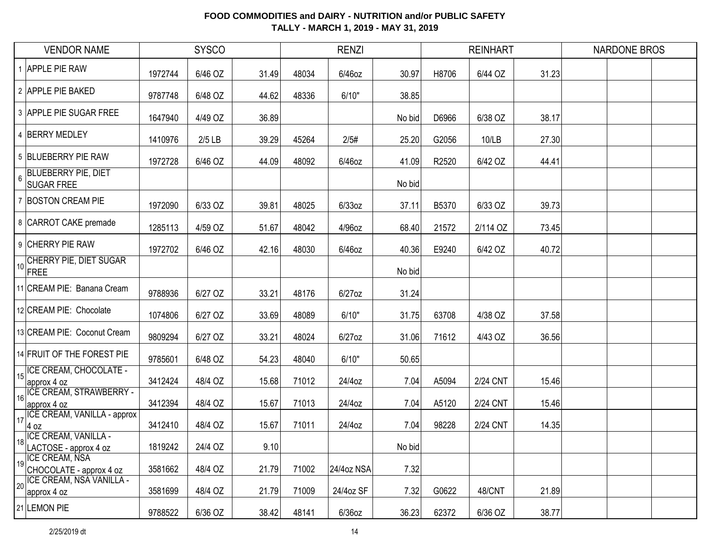|                | <b>VENDOR NAME</b>                               |         | <b>SYSCO</b> |       |       | <b>RENZI</b> |        |       | <b>REINHART</b> |       | <b>NARDONE BROS</b> |  |
|----------------|--------------------------------------------------|---------|--------------|-------|-------|--------------|--------|-------|-----------------|-------|---------------------|--|
|                | <b>APPLE PIE RAW</b>                             | 1972744 | 6/46 OZ      | 31.49 | 48034 | 6/46oz       | 30.97  | H8706 | 6/44 OZ         | 31.23 |                     |  |
|                | 2 APPLE PIE BAKED                                | 9787748 | 6/48 OZ      | 44.62 | 48336 | 6/10"        | 38.85  |       |                 |       |                     |  |
|                | 3 APPLE PIE SUGAR FREE                           | 1647940 | 4/49 OZ      | 36.89 |       |              | No bid | D6966 | 6/38 OZ         | 38.17 |                     |  |
|                | 4 BERRY MEDLEY                                   | 1410976 | $2/5$ LB     | 39.29 | 45264 | 2/5#         | 25.20  | G2056 | 10/LB           | 27.30 |                     |  |
|                | 5 BLUEBERRY PIE RAW                              | 1972728 | 6/46 OZ      | 44.09 | 48092 | 6/46oz       | 41.09  | R2520 | 6/42 OZ         | 44.41 |                     |  |
| 6              | <b>BLUEBERRY PIE, DIET</b><br><b>SUGAR FREE</b>  |         |              |       |       |              | No bid |       |                 |       |                     |  |
| $\overline{7}$ | <b>BOSTON CREAM PIE</b>                          | 1972090 | 6/33 OZ      | 39.81 | 48025 | $6/33$ oz    | 37.11  | B5370 | 6/33 OZ         | 39.73 |                     |  |
|                | 8 CARROT CAKE premade                            | 1285113 | 4/59 OZ      | 51.67 | 48042 | 4/96oz       | 68.40  | 21572 | 2/114 OZ        | 73.45 |                     |  |
|                | 9 CHERRY PIE RAW                                 | 1972702 | 6/46 OZ      | 42.16 | 48030 | 6/46oz       | 40.36  | E9240 | 6/42 OZ         | 40.72 |                     |  |
| 10             | CHERRY PIE, DIET SUGAR<br>FREE                   |         |              |       |       |              | No bid |       |                 |       |                     |  |
|                | 11 CREAM PIE: Banana Cream                       | 9788936 | 6/27 OZ      | 33.21 | 48176 | $6/27$ oz    | 31.24  |       |                 |       |                     |  |
|                | 12 CREAM PIE: Chocolate                          | 1074806 | 6/27 OZ      | 33.69 | 48089 | 6/10"        | 31.75  | 63708 | 4/38 OZ         | 37.58 |                     |  |
|                | 13 CREAM PIE: Coconut Cream                      | 9809294 | 6/27 OZ      | 33.21 | 48024 | $6/27$ oz    | 31.06  | 71612 | 4/43 OZ         | 36.56 |                     |  |
|                | 14 FRUIT OF THE FOREST PIE                       | 9785601 | 6/48 OZ      | 54.23 | 48040 | 6/10"        | 50.65  |       |                 |       |                     |  |
| 15             | ICE CREAM, CHOCOLATE -<br>approx 4 oz            | 3412424 | 48/4 OZ      | 15.68 | 71012 | 24/4oz       | 7.04   | A5094 | 2/24 CNT        | 15.46 |                     |  |
| 16             | <b>ICE CREAM, STRAWBERRY -</b><br>approx 4 oz    | 3412394 | 48/4 OZ      | 15.67 | 71013 | 24/4oz       | 7.04   | A5120 | 2/24 CNT        | 15.46 |                     |  |
| 17             | ICE CREAM, VANILLA - approx<br>4 oz              | 3412410 | 48/4 OZ      | 15.67 | 71011 | 24/4oz       | 7.04   | 98228 | 2/24 CNT        | 14.35 |                     |  |
| 18             | ICE CREAM, VANILLA -<br>LACTOSE - approx 4 oz    | 1819242 | 24/4 OZ      | 9.10  |       |              | No bid |       |                 |       |                     |  |
| 19             | <b>ICE CREAM, NSA</b><br>CHOCOLATE - approx 4 oz | 3581662 | 48/4 OZ      | 21.79 | 71002 | 24/4oz NSA   | 7.32   |       |                 |       |                     |  |
| 20             | ICE CREAM, NSA VANILLA -<br>approx 4 oz          | 3581699 | 48/4 OZ      | 21.79 | 71009 | 24/4oz SF    | 7.32   | G0622 | 48/CNT          | 21.89 |                     |  |
|                | 21 LEMON PIE                                     | 9788522 | 6/36 OZ      | 38.42 | 48141 | $6/36$ oz    | 36.23  | 62372 | 6/36 OZ         | 38.77 |                     |  |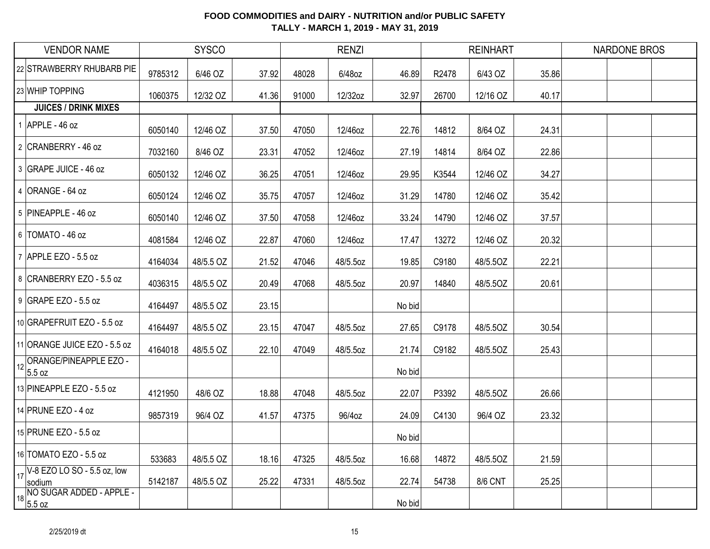| <b>VENDOR NAME</b>                              |         | <b>SYSCO</b> |       |       | <b>RENZI</b> |        |       | <b>REINHART</b> |       | <b>NARDONE BROS</b> |  |
|-------------------------------------------------|---------|--------------|-------|-------|--------------|--------|-------|-----------------|-------|---------------------|--|
| 22 STRAWBERRY RHUBARB PIE                       | 9785312 | 6/46 OZ      | 37.92 | 48028 | 6/48oz       | 46.89  | R2478 | 6/43 OZ         | 35.86 |                     |  |
| 23 WHIP TOPPING                                 | 1060375 | 12/32 OZ     | 41.36 | 91000 | 12/32oz      | 32.97  | 26700 | 12/16 OZ        | 40.17 |                     |  |
| <b>JUICES / DRINK MIXES</b>                     |         |              |       |       |              |        |       |                 |       |                     |  |
| $1$ APPLE - 46 oz                               | 6050140 | 12/46 OZ     | 37.50 | 47050 | 12/46oz      | 22.76  | 14812 | 8/64 OZ         | 24.31 |                     |  |
| 2 CRANBERRY - 46 oz                             | 7032160 | 8/46 OZ      | 23.31 | 47052 | 12/46oz      | 27.19  | 14814 | 8/64 OZ         | 22.86 |                     |  |
| 3 GRAPE JUICE - 46 oz                           | 6050132 | 12/46 OZ     | 36.25 | 47051 | 12/46oz      | 29.95  | K3544 | 12/46 OZ        | 34.27 |                     |  |
| 4 ORANGE - 64 oz                                | 6050124 | 12/46 OZ     | 35.75 | 47057 | 12/46oz      | 31.29  | 14780 | 12/46 OZ        | 35.42 |                     |  |
| 5 PINEAPPLE - 46 oz                             | 6050140 | 12/46 OZ     | 37.50 | 47058 | 12/46oz      | 33.24  | 14790 | 12/46 OZ        | 37.57 |                     |  |
| 6 TOMATO - 46 oz                                | 4081584 | 12/46 OZ     | 22.87 | 47060 | 12/46oz      | 17.47  | 13272 | 12/46 OZ        | 20.32 |                     |  |
| 7 APPLE EZO - 5.5 oz                            | 4164034 | 48/5.5 OZ    | 21.52 | 47046 | 48/5.5oz     | 19.85  | C9180 | 48/5.5OZ        | 22.21 |                     |  |
| 8 CRANBERRY EZO - 5.5 oz                        | 4036315 | 48/5.5 OZ    | 20.49 | 47068 | 48/5.5oz     | 20.97  | 14840 | 48/5.5OZ        | 20.61 |                     |  |
| 9 GRAPE EZO - 5.5 oz                            | 4164497 | 48/5.5 OZ    | 23.15 |       |              | No bid |       |                 |       |                     |  |
| 10 GRAPEFRUIT EZO - 5.5 oz                      | 4164497 | 48/5.5 OZ    | 23.15 | 47047 | 48/5.5oz     | 27.65  | C9178 | 48/5.50Z        | 30.54 |                     |  |
| 11 ORANGE JUICE EZO - 5.5 oz                    | 4164018 | 48/5.5 OZ    | 22.10 | 47049 | 48/5.5oz     | 21.74  | C9182 | 48/5.5OZ        | 25.43 |                     |  |
| 12 ORANGE/PINEAPPLE EZO -<br>5.5 oz             |         |              |       |       |              | No bid |       |                 |       |                     |  |
| 13 PINEAPPLE EZO - 5.5 oz                       | 4121950 | 48/6 OZ      | 18.88 | 47048 | 48/5.5oz     | 22.07  | P3392 | 48/5.50Z        | 26.66 |                     |  |
| 14 PRUNE EZO - 4 oz                             | 9857319 | 96/4 OZ      | 41.57 | 47375 | 96/4oz       | 24.09  | C4130 | 96/4 OZ         | 23.32 |                     |  |
| 15 PRUNE EZO - 5.5 oz                           |         |              |       |       |              | No bid |       |                 |       |                     |  |
| 16 TOMATO EZO - 5.5 oz                          | 533683  | 48/5.5 OZ    | 18.16 | 47325 | 48/5.5oz     | 16.68  | 14872 | 48/5.50Z        | 21.59 |                     |  |
| $17\sqrt{68}$ EZO LO SO - 5.5 oz, low<br>sodium | 5142187 | 48/5.5 OZ    | 25.22 | 47331 | 48/5.5oz     | 22.74  | 54738 | 8/6 CNT         | 25.25 |                     |  |
| 18 NO SUGAR ADDED - APPLE -<br>18 5.5 oz        |         |              |       |       |              | No bid |       |                 |       |                     |  |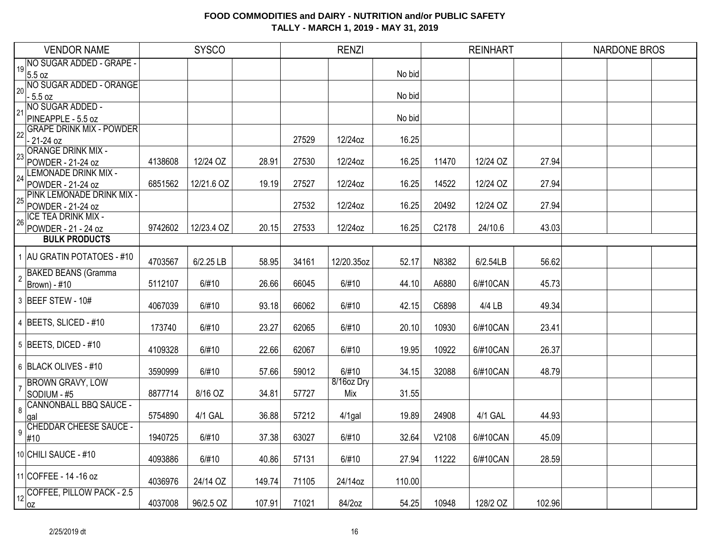|                | <b>VENDOR NAME</b>                             |         | <b>SYSCO</b> |        |       | <b>RENZI</b> |        |       | <b>REINHART</b> |        | <b>NARDONE BROS</b> |  |
|----------------|------------------------------------------------|---------|--------------|--------|-------|--------------|--------|-------|-----------------|--------|---------------------|--|
| 19             | NO SUGAR ADDED - GRAPE -                       |         |              |        |       |              |        |       |                 |        |                     |  |
|                | 5.5 oz                                         |         |              |        |       |              | No bid |       |                 |        |                     |  |
| 20             | NO SUGAR ADDED - ORANGE<br>$-5.5$ oz           |         |              |        |       |              | No bid |       |                 |        |                     |  |
|                | NO SUGAR ADDED -                               |         |              |        |       |              |        |       |                 |        |                     |  |
| 21             | PINEAPPLE - 5.5 oz                             |         |              |        |       |              | No bid |       |                 |        |                     |  |
|                | <b>GRAPE DRINK MIX - POWDER</b>                |         |              |        |       |              |        |       |                 |        |                     |  |
| 22             | $-21-24$ oz                                    |         |              |        | 27529 | 12/24oz      | 16.25  |       |                 |        |                     |  |
| 23             | <b>ORANGE DRINK MIX -</b>                      |         |              |        |       |              |        |       |                 |        |                     |  |
|                | POWDER - 21-24 oz                              | 4138608 | 12/24 OZ     | 28.91  | 27530 | 12/24oz      | 16.25  | 11470 | 12/24 OZ        | 27.94  |                     |  |
| 24             | <b>LEMONADE DRINK MIX -</b>                    |         |              |        |       |              |        |       |                 | 27.94  |                     |  |
|                | POWDER - 21-24 oz<br>PINK LEMONADE DRINK MIX - | 6851562 | 12/21.6 OZ   | 19.19  | 27527 | 12/24oz      | 16.25  | 14522 | 12/24 OZ        |        |                     |  |
| 25             | POWDER - 21-24 oz                              |         |              |        | 27532 | 12/24oz      | 16.25  | 20492 | 12/24 OZ        | 27.94  |                     |  |
|                | ICE TEA DRINK MIX -                            |         |              |        |       |              |        |       |                 |        |                     |  |
| 26             | POWDER - 21 - 24 oz                            | 9742602 | 12/23.4 OZ   | 20.15  | 27533 | 12/24oz      | 16.25  | C2178 | 24/10.6         | 43.03  |                     |  |
|                | <b>BULK PRODUCTS</b>                           |         |              |        |       |              |        |       |                 |        |                     |  |
|                | 1 AU GRATIN POTATOES - #10                     |         |              |        |       |              |        |       |                 |        |                     |  |
|                |                                                | 4703567 | 6/2.25 LB    | 58.95  | 34161 | 12/20.35oz   | 52.17  | N8382 | 6/2.54LB        | 56.62  |                     |  |
| $\overline{2}$ | <b>BAKED BEANS (Gramma</b>                     | 5112107 | 6/#10        | 26.66  | 66045 | 6/#10        | 44.10  | A6880 | 6/#10CAN        | 45.73  |                     |  |
|                | Brown) - #10                                   |         |              |        |       |              |        |       |                 |        |                     |  |
|                | 3 BEEF STEW - 10#                              | 4067039 | 6/#10        | 93.18  | 66062 | 6/#10        | 42.15  | C6898 | 4/4 LB          | 49.34  |                     |  |
|                |                                                |         |              |        |       |              |        |       |                 |        |                     |  |
|                | 4 BEETS, SLICED - #10                          | 173740  | 6/#10        | 23.27  | 62065 | 6/#10        | 20.10  | 10930 | 6/#10CAN        | 23.41  |                     |  |
|                | $5$ BEETS, DICED - #10                         |         |              |        |       |              |        |       |                 |        |                     |  |
|                |                                                | 4109328 | 6/#10        | 22.66  | 62067 | 6/#10        | 19.95  | 10922 | 6/#10CAN        | 26.37  |                     |  |
|                | 6 BLACK OLIVES - #10                           | 3590999 | 6/#10        | 57.66  | 59012 | 6/#10        | 34.15  | 32088 | 6/#10CAN        | 48.79  |                     |  |
|                | <b>BROWN GRAVY, LOW</b>                        |         |              |        |       | 8/16oz Dry   |        |       |                 |        |                     |  |
|                | SODIUM - #5                                    | 8877714 | 8/16 OZ      | 34.81  | 57727 | Mix          | 31.55  |       |                 |        |                     |  |
| 8              | <b>CANNONBALL BBQ SAUCE -</b>                  |         |              |        |       |              |        |       |                 |        |                     |  |
|                | gal                                            | 5754890 | 4/1 GAL      | 36.88  | 57212 | $4/1$ gal    | 19.89  | 24908 | 4/1 GAL         | 44.93  |                     |  |
| 9              | <b>CHEDDAR CHEESE SAUCE -</b><br>#10           | 1940725 | 6/#10        | 37.38  | 63027 | 6/#10        | 32.64  | V2108 | 6/#10CAN        | 45.09  |                     |  |
|                |                                                |         |              |        |       |              |        |       |                 |        |                     |  |
|                | 10 CHILI SAUCE - #10                           | 4093886 | 6/#10        | 40.86  | 57131 | 6/#10        | 27.94  | 11222 | 6/#10CAN        | 28.59  |                     |  |
|                | 11 COFFEE - 14 - 16 oz                         |         |              |        |       |              |        |       |                 |        |                     |  |
|                |                                                | 4036976 | 24/14 OZ     | 149.74 | 71105 | 24/14oz      | 110.00 |       |                 |        |                     |  |
| 12             | COFFEE, PILLOW PACK - 2.5                      | 4037008 | 96/2.5 OZ    | 107.91 | 71021 | 84/2oz       | 54.25  | 10948 | 128/2 OZ        | 102.96 |                     |  |
|                | 0Z                                             |         |              |        |       |              |        |       |                 |        |                     |  |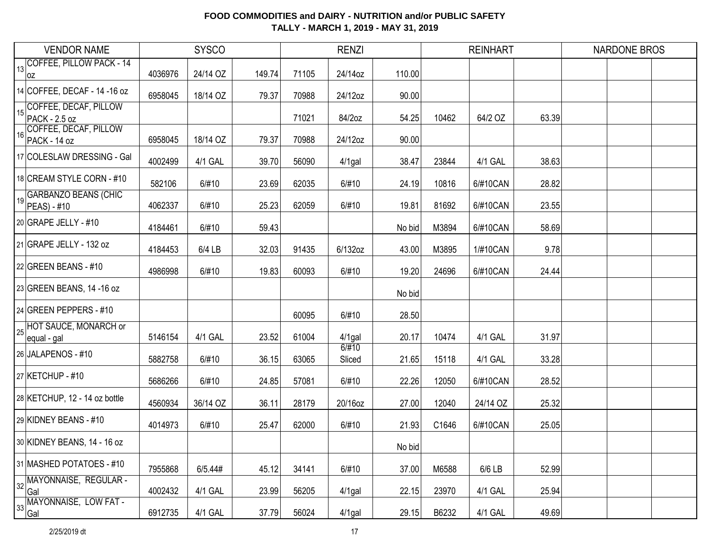|     | <b>VENDOR NAME</b>                            |         | <b>SYSCO</b> |        |       | <b>RENZI</b>    |        |       | <b>REINHART</b> |       | <b>NARDONE BROS</b> |
|-----|-----------------------------------------------|---------|--------------|--------|-------|-----------------|--------|-------|-----------------|-------|---------------------|
| 13  | COFFEE, PILLOW PACK - 14                      |         |              |        |       |                 |        |       |                 |       |                     |
|     | OZ                                            | 4036976 | 24/14 OZ     | 149.74 | 71105 | 24/14oz         | 110.00 |       |                 |       |                     |
|     | 14 COFFEE, DECAF - 14 - 16 oz                 | 6958045 | 18/14 OZ     | 79.37  | 70988 | 24/12oz         | 90.00  |       |                 |       |                     |
| 151 | COFFEE, DECAF, PILLOW<br><b>PACK - 2.5 oz</b> |         |              |        | 71021 | 84/2oz          | 54.25  | 10462 | 64/2 OZ         | 63.39 |                     |
| 16  | COFFEE, DECAF, PILLOW                         | 6958045 | 18/14 OZ     | 79.37  | 70988 | 24/12oz         | 90.00  |       |                 |       |                     |
|     | PACK - 14 oz                                  |         |              |        |       |                 |        |       |                 |       |                     |
|     | 17 COLESLAW DRESSING - Gal                    | 4002499 | 4/1 GAL      | 39.70  | 56090 | $4/1$ gal       | 38.47  | 23844 | 4/1 GAL         | 38.63 |                     |
|     | 18 CREAM STYLE CORN - #10                     | 582106  | 6/#10        | 23.69  | 62035 | 6/#10           | 24.19  | 10816 | 6/#10CAN        | 28.82 |                     |
| 19  | <b>GARBANZO BEANS (CHIC</b><br>PEAS) - #10    | 4062337 | 6/#10        | 25.23  | 62059 | 6/#10           | 19.81  | 81692 | 6/#10CAN        | 23.55 |                     |
|     | 20 GRAPE JELLY - $\#10$                       | 4184461 | 6/#10        | 59.43  |       |                 | No bid | M3894 | 6/#10CAN        | 58.69 |                     |
|     | 21 GRAPE JELLY - 132 oz                       | 4184453 | 6/4 LB       | 32.03  | 91435 | 6/132oz         | 43.00  | M3895 | 1/#10CAN        | 9.78  |                     |
|     | $22$ GREEN BEANS - #10                        | 4986998 | 6/#10        | 19.83  | 60093 | 6/#10           | 19.20  | 24696 | 6/#10CAN        | 24.44 |                     |
|     | 23 GREEN BEANS, 14 -16 oz                     |         |              |        |       |                 | No bid |       |                 |       |                     |
|     | 24 GREEN PEPPERS - #10                        |         |              |        | 60095 | 6/#10           | 28.50  |       |                 |       |                     |
| 25  | HOT SAUCE, MONARCH or<br>equal - gal          | 5146154 | 4/1 GAL      | 23.52  | 61004 | $4/1$ gal       | 20.17  | 10474 | 4/1 GAL         | 31.97 |                     |
|     | 26 JALAPENOS - #10                            | 5882758 | 6/#10        | 36.15  | 63065 | 6/#10<br>Sliced | 21.65  | 15118 | 4/1 GAL         | 33.28 |                     |
|     | 27 KETCHUP - #10                              | 5686266 | 6/#10        | 24.85  | 57081 | 6/#10           | 22.26  | 12050 | 6/#10CAN        | 28.52 |                     |
|     | 28 KETCHUP, 12 - 14 oz bottle                 | 4560934 | 36/14 OZ     | 36.11  | 28179 | 20/16oz         | 27.00  | 12040 | 24/14 OZ        | 25.32 |                     |
|     | 29 KIDNEY BEANS - #10                         | 4014973 | 6/#10        | 25.47  | 62000 | 6/#10           | 21.93  | C1646 | 6/#10CAN        | 25.05 |                     |
|     | 30 KIDNEY BEANS, 14 - 16 oz                   |         |              |        |       |                 | No bid |       |                 |       |                     |
|     | 31 MASHED POTATOES - #10                      | 7955868 | 6/5.44#      | 45.12  | 34141 | 6/#10           | 37.00  | M6588 | 6/6 LB          | 52.99 |                     |
| 32  | MAYONNAISE, REGULAR -<br>Gal                  | 4002432 | 4/1 GAL      | 23.99  | 56205 | $4/1$ gal       | 22.15  | 23970 | 4/1 GAL         | 25.94 |                     |
| 33  | MAYONNAISE, LOW FAT -<br>Gal                  | 6912735 | 4/1 GAL      | 37.79  | 56024 | 4/1gal          | 29.15  | B6232 | 4/1 GAL         | 49.69 |                     |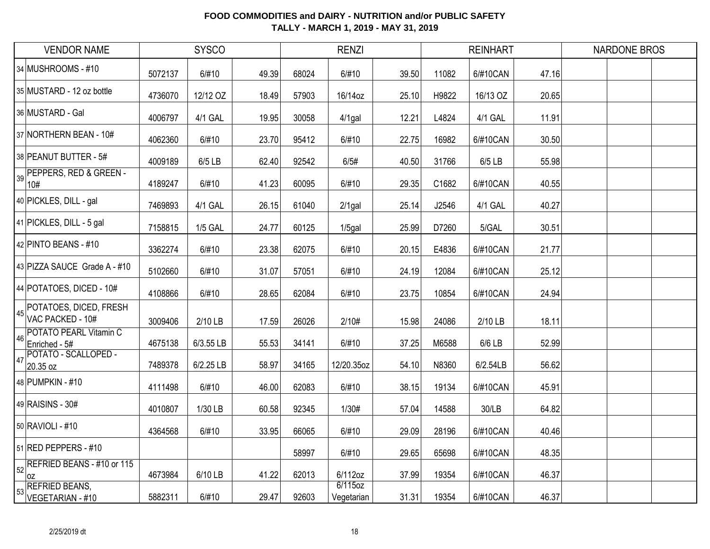| <b>VENDOR NAME</b>                                              |         | <b>SYSCO</b>   |       |       | <b>RENZI</b>          |       |       | <b>REINHART</b> |       | <b>NARDONE BROS</b> |
|-----------------------------------------------------------------|---------|----------------|-------|-------|-----------------------|-------|-------|-----------------|-------|---------------------|
| 34 MUSHROOMS - #10                                              | 5072137 | 6/#10          | 49.39 | 68024 | 6/#10                 | 39.50 | 11082 | 6/#10CAN        | 47.16 |                     |
| 35 MUSTARD - 12 oz bottle                                       | 4736070 | 12/12 OZ       | 18.49 | 57903 | 16/14oz               | 25.10 | H9822 | 16/13 OZ        | 20.65 |                     |
| 36 MUSTARD - Gal                                                | 4006797 | 4/1 GAL        | 19.95 | 30058 | $4/1$ gal             | 12.21 | L4824 | 4/1 GAL         | 11.91 |                     |
| 37 NORTHERN BEAN - 10#                                          | 4062360 | 6/#10          | 23.70 | 95412 | 6/#10                 | 22.75 | 16982 | 6/#10CAN        | 30.50 |                     |
| 38 PEANUT BUTTER - 5#                                           | 4009189 | 6/5 LB         | 62.40 | 92542 | 6/5#                  | 40.50 | 31766 | $6/5$ LB        | 55.98 |                     |
| PEPPERS, RED & GREEN -<br>39<br>10#                             | 4189247 | 6/#10          | 41.23 | 60095 | 6/#10                 | 29.35 | C1682 | 6/#10CAN        | 40.55 |                     |
| 40 PICKLES, DILL - gal                                          | 7469893 | 4/1 GAL        | 26.15 | 61040 | $2/1$ gal             | 25.14 | J2546 | 4/1 GAL         | 40.27 |                     |
| 41 PICKLES, DILL - 5 gal                                        | 7158815 | <b>1/5 GAL</b> | 24.77 | 60125 | $1/5$ gal             | 25.99 | D7260 | 5/GAL           | 30.51 |                     |
| 42 PINTO BEANS - #10                                            | 3362274 | 6/#10          | 23.38 | 62075 | 6/#10                 | 20.15 | E4836 | 6/#10CAN        | 21.77 |                     |
| 43 PIZZA SAUCE Grade A - #10                                    | 5102660 | 6/#10          | 31.07 | 57051 | 6/#10                 | 24.19 | 12084 | 6/#10CAN        | 25.12 |                     |
| 44 POTATOES, DICED - 10#                                        | 4108866 | 6/#10          | 28.65 | 62084 | 6/#10                 | 23.75 | 10854 | 6/#10CAN        | 24.94 |                     |
| 45 POTATOES, DICED, FRESH<br>VAC PACKED - 10#                   | 3009406 | 2/10 LB        | 17.59 | 26026 | 2/10#                 | 15.98 | 24086 | 2/10 LB         | 18.11 |                     |
| <b>POTATO PEARL Vitamin C</b><br>46<br>Enriched - 5#            | 4675138 | 6/3.55 LB      | 55.53 | 34141 | 6/#10                 | 37.25 | M6588 | 6/6 LB          | 52.99 |                     |
| POTATO - SCALLOPED -<br>47<br>20.35 oz                          | 7489378 | 6/2.25 LB      | 58.97 | 34165 | 12/20.35oz            | 54.10 | N8360 | 6/2.54LB        | 56.62 |                     |
| 48 PUMPKIN - #10                                                | 4111498 | 6/#10          | 46.00 | 62083 | 6/#10                 | 38.15 | 19134 | 6/#10CAN        | 45.91 |                     |
| 49 RAISINS - 30#                                                | 4010807 | 1/30 LB        | 60.58 | 92345 | 1/30#                 | 57.04 | 14588 | 30/LB           | 64.82 |                     |
| 50 RAVIOLI - #10                                                | 4364568 | 6/#10          | 33.95 | 66065 | 6/#10                 | 29.09 | 28196 | 6/#10CAN        | 40.46 |                     |
| 51 RED PEPPERS - #10                                            |         |                |       | 58997 | 6/#10                 | 29.65 | 65698 | 6/#10CAN        | 48.35 |                     |
| $\left  \frac{1}{52} \right $ REFRIED BEANS - #10 or 115<br>loz | 4673984 | 6/10 LB        | 41.22 | 62013 | 6/112oz               | 37.99 | 19354 | 6/#10CAN        | 46.37 |                     |
| <b>REFRIED BEANS,</b><br>53<br>VEGETARIAN - #10                 | 5882311 | 6/#10          | 29.47 | 92603 | 6/115oz<br>Vegetarian | 31.31 | 19354 | 6/#10CAN        | 46.37 |                     |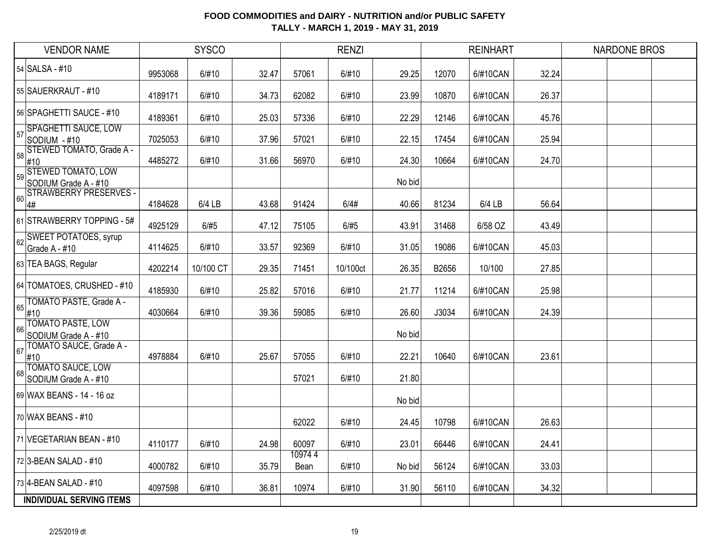| <b>VENDOR NAME</b>                                                                                           |         | <b>SYSCO</b> |       |                | <b>RENZI</b> |        |       | <b>REINHART</b> |       | <b>NARDONE BROS</b> |  |
|--------------------------------------------------------------------------------------------------------------|---------|--------------|-------|----------------|--------------|--------|-------|-----------------|-------|---------------------|--|
| 54 SALSA - #10                                                                                               | 9953068 | 6/#10        | 32.47 | 57061          | 6/#10        | 29.25  | 12070 | 6/#10CAN        | 32.24 |                     |  |
| 55 SAUERKRAUT - #10                                                                                          | 4189171 | 6/#10        | 34.73 | 62082          | 6/#10        | 23.99  | 10870 | 6/#10CAN        | 26.37 |                     |  |
| 56 SPAGHETTI SAUCE - #10                                                                                     | 4189361 | 6/#10        | 25.03 | 57336          | 6/#10        | 22.29  | 12146 | 6/#10CAN        | 45.76 |                     |  |
| <b>SPAGHETTI SAUCE, LOW</b><br>57<br>SODIUM - #10                                                            | 7025053 | 6/#10        | 37.96 | 57021          | 6/#10        | 22.15  | 17454 | 6/#10CAN        | 25.94 |                     |  |
| $\begin{array}{r} \hline 58 \overline{\smash{\big)} 58} \\ 410 \\ 410 \end{array}$ (STEWED TOMATO, Grade A - | 4485272 | 6/#10        | 31.66 | 56970          | 6/#10        | 24.30  | 10664 | 6/#10CAN        | 24.70 |                     |  |
| 59 STEWED TOMATO, LOW<br>SODIUM Grade A - #10                                                                |         |              |       |                |              | No bid |       |                 |       |                     |  |
| <b>STRAWBERRY PRESERVES -</b><br>60<br>4#                                                                    | 4184628 | 6/4 LB       | 43.68 | 91424          | 6/4#         | 40.66  | 81234 | 6/4 LB          | 56.64 |                     |  |
| 61 STRAWBERRY TOPPING - 5#                                                                                   | 4925129 | 6/#5         | 47.12 | 75105          | 6/#5         | 43.91  | 31468 | 6/58 OZ         | 43.49 |                     |  |
| SWEET POTATOES, syrup<br>62<br>Grade A - #10                                                                 | 4114625 | 6/#10        | 33.57 | 92369          | 6/#10        | 31.05  | 19086 | 6/#10CAN        | 45.03 |                     |  |
| 63 TEA BAGS, Regular                                                                                         | 4202214 | 10/100 CT    | 29.35 | 71451          | 10/100ct     | 26.35  | B2656 | 10/100          | 27.85 |                     |  |
| 64 TOMATOES, CRUSHED - #10                                                                                   | 4185930 | 6/#10        | 25.82 | 57016          | 6/#10        | 21.77  | 11214 | 6/#10CAN        | 25.98 |                     |  |
| TOMATO PASTE, Grade A -<br>65<br>#10                                                                         | 4030664 | 6/#10        | 39.36 | 59085          | 6/#10        | 26.60  | J3034 | 6/#10CAN        | 24.39 |                     |  |
| <b>TOMATO PASTE, LOW</b><br>66<br>SODIUM Grade A - #10                                                       |         |              |       |                |              | No bid |       |                 |       |                     |  |
| TOMATO SAUCE, Grade A -<br>67<br>#10                                                                         | 4978884 | 6/#10        | 25.67 | 57055          | 6/#10        | 22.21  | 10640 | 6/#10CAN        | 23.61 |                     |  |
| <b>TOMATO SAUCE, LOW</b><br>68<br>SODIUM Grade A - #10                                                       |         |              |       | 57021          | 6/#10        | 21.80  |       |                 |       |                     |  |
| 69 WAX BEANS - 14 - 16 oz                                                                                    |         |              |       |                |              | No bid |       |                 |       |                     |  |
| 70 WAX BEANS - #10                                                                                           |         |              |       | 62022          | 6/#10        | 24.45  | 10798 | 6/#10CAN        | 26.63 |                     |  |
| 71 VEGETARIAN BEAN - #10                                                                                     | 4110177 | 6/#10        | 24.98 | 60097          | 6/#10        | 23.01  | 66446 | 6/#10CAN        | 24.41 |                     |  |
| 72 3-BEAN SALAD - #10                                                                                        | 4000782 | 6/#10        | 35.79 | 109744<br>Bean | 6/#10        | No bid | 56124 | 6/#10CAN        | 33.03 |                     |  |
| 73 4-BEAN SALAD - #10                                                                                        | 4097598 | 6/#10        | 36.81 | 10974          | 6/#10        | 31.90  | 56110 | 6/#10CAN        | 34.32 |                     |  |
| <b>INDIVIDUAL SERVING ITEMS</b>                                                                              |         |              |       |                |              |        |       |                 |       |                     |  |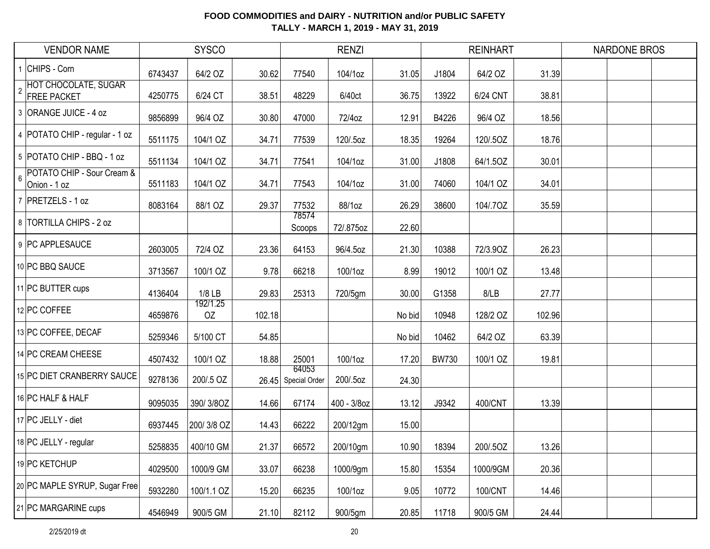| <b>VENDOR NAME</b>                                            |         | <b>SYSCO</b>   |        |                              | <b>RENZI</b> |        |              | <b>REINHART</b> |        | <b>NARDONE BROS</b> |  |
|---------------------------------------------------------------|---------|----------------|--------|------------------------------|--------------|--------|--------------|-----------------|--------|---------------------|--|
| 1 CHIPS - Corn                                                | 6743437 | 64/2 OZ        | 30.62  | 77540                        | 104/1oz      | 31.05  | J1804        | 64/2 OZ         | 31.39  |                     |  |
| HOT CHOCOLATE, SUGAR<br><b>FREE PACKET</b>                    | 4250775 | 6/24 CT        | 38.51  | 48229                        | 6/40ct       | 36.75  | 13922        | 6/24 CNT        | 38.81  |                     |  |
| 3 ORANGE JUICE - 4 oz                                         | 9856899 | 96/4 OZ        | 30.80  | 47000                        | 72/4oz       | 12.91  | B4226        | 96/4 OZ         | 18.56  |                     |  |
| 4   POTATO CHIP - regular - 1 oz                              | 5511175 | 104/1 OZ       | 34.71  | 77539                        | 120/.5oz     | 18.35  | 19264        | 120/.5OZ        | 18.76  |                     |  |
| 5 POTATO CHIP - BBQ - 1 oz                                    | 5511134 | 104/1 OZ       | 34.71  | 77541                        | 104/1oz      | 31.00  | J1808        | 64/1.5OZ        | 30.01  |                     |  |
| POTATO CHIP - Sour Cream &<br>$6\overline{6}$<br>Onion - 1 oz | 5511183 | 104/1 OZ       | 34.71  | 77543                        | 104/1oz      | 31.00  | 74060        | 104/1 OZ        | 34.01  |                     |  |
| 7 PRETZELS - 1 oz                                             | 8083164 | 88/1 OZ        | 29.37  | 77532                        | 88/1oz       | 26.29  | 38600        | 104/.70Z        | 35.59  |                     |  |
| 8 TORTILLA CHIPS - 2 oz                                       |         |                |        | 78574<br>Scoops              | 72/.875oz    | 22.60  |              |                 |        |                     |  |
| 9 PC APPLESAUCE                                               | 2603005 | 72/4 OZ        | 23.36  | 64153                        | 96/4.5oz     | 21.30  | 10388        | 72/3.90Z        | 26.23  |                     |  |
| 10 PC BBQ SAUCE                                               | 3713567 | 100/1 OZ       | 9.78   | 66218                        | 100/1oz      | 8.99   | 19012        | 100/1 OZ        | 13.48  |                     |  |
| 11 PC BUTTER cups                                             | 4136404 | $1/8$ LB       | 29.83  | 25313                        | 720/5gm      | 30.00  | G1358        | 8/LB            | 27.77  |                     |  |
| 12 PC COFFEE                                                  | 4659876 | 192/1.25<br>OZ | 102.18 |                              |              | No bid | 10948        | 128/2 OZ        | 102.96 |                     |  |
| 13 PC COFFEE, DECAF                                           | 5259346 | 5/100 CT       | 54.85  |                              |              | No bid | 10462        | 64/2 OZ         | 63.39  |                     |  |
| 14 PC CREAM CHEESE                                            | 4507432 | 100/1 OZ       | 18.88  | 25001                        | 100/1oz      | 17.20  | <b>BW730</b> | 100/1 OZ        | 19.81  |                     |  |
| 15 PC DIET CRANBERRY SAUCE                                    | 9278136 | 200/.5 OZ      |        | 64053<br>26.45 Special Order | 200/.5oz     | 24.30  |              |                 |        |                     |  |
| 16 PC HALF & HALF                                             | 9095035 | 390/3/8OZ      | 14.66  | 67174                        | 400 - 3/8oz  | 13.12  | J9342        | 400/CNT         | 13.39  |                     |  |
| 17 PC JELLY - diet                                            | 6937445 | 200/3/8 OZ     | 14.43  | 66222                        | 200/12gm     | 15.00  |              |                 |        |                     |  |
| 18 PC JELLY - regular                                         | 5258835 | 400/10 GM      | 21.37  | 66572                        | 200/10gm     | 10.90  | 18394        | 200/.5OZ        | 13.26  |                     |  |
| 19 PC KETCHUP                                                 | 4029500 | 1000/9 GM      | 33.07  | 66238                        | 1000/9gm     | 15.80  | 15354        | 1000/9GM        | 20.36  |                     |  |
| 20 PC MAPLE SYRUP, Sugar Free                                 | 5932280 | 100/1.1 OZ     | 15.20  | 66235                        | 100/1oz      | 9.05   | 10772        | 100/CNT         | 14.46  |                     |  |
| 21 PC MARGARINE cups                                          | 4546949 | 900/5 GM       | 21.10  | 82112                        | 900/5gm      | 20.85  | 11718        | 900/5 GM        | 24.44  |                     |  |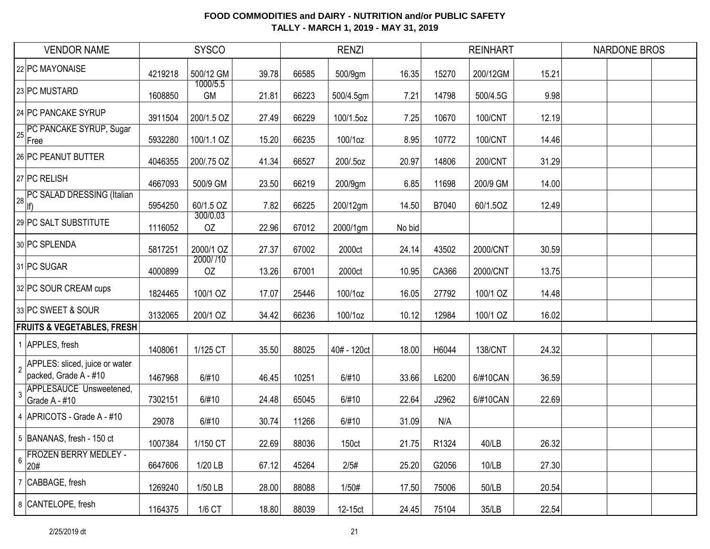| <b>VENDOR NAME</b>                                                        |         | <b>SYSCO</b>          |       |       | <b>RENZI</b> |        |       | <b>REINHART</b> |       | NARDONE BROS |  |
|---------------------------------------------------------------------------|---------|-----------------------|-------|-------|--------------|--------|-------|-----------------|-------|--------------|--|
| 22 PC MAYONAISE                                                           | 4219218 | 500/12 GM             | 39.78 | 66585 | 500/9gm      | 16.35  | 15270 | 200/12GM        | 15.21 |              |  |
| 23 PC MUSTARD                                                             | 1608850 | 1000/5.5<br><b>GM</b> | 21.81 | 66223 | 500/4.5gm    | 7.21   | 14798 | 500/4.5G        | 9.98  |              |  |
| 24 PC PANCAKE SYRUP                                                       | 3911504 | 200/1.5 OZ            | 27.49 | 66229 | 100/1.5oz    | 7.25   | 10670 | 100/CNT         | 12.19 |              |  |
| PC PANCAKE SYRUP, Sugar<br>25<br>Free                                     | 5932280 | 100/1.1 OZ            | 15.20 | 66235 | 100/1oz      | 8.95   | 10772 | 100/CNT         | 14.46 |              |  |
| 26 PC PEANUT BUTTER                                                       | 4046355 | 200/.75 OZ            | 41.34 | 66527 | 200/.5oz     | 20.97  | 14806 | 200/CNT         | 31.29 |              |  |
| 27 PC RELISH                                                              | 4667093 | 500/9 GM              | 23.50 | 66219 | 200/9gm      | 6.85   | 11698 | 200/9 GM        | 14.00 |              |  |
| 28 PC SALAD DRESSING (Italian                                             | 5954250 | 60/1.5 OZ             | 7.82  | 66225 | 200/12gm     | 14.50  | B7040 | 60/1.5OZ        | 12.49 |              |  |
| 29 PC SALT SUBSTITUTE                                                     | 1116052 | 300/0.03<br>OZ        | 22.96 | 67012 | 2000/1gm     | No bid |       |                 |       |              |  |
| 30 PC SPLENDA                                                             | 5817251 | 2000/1 OZ             | 27.37 | 67002 | 2000ct       | 24.14  | 43502 | 2000/CNT        | 30.59 |              |  |
| 31 PC SUGAR                                                               | 4000899 | 2000/710<br>OZ        | 13.26 | 67001 | 2000ct       | 10.95  | CA366 | 2000/CNT        | 13.75 |              |  |
| 32 PC SOUR CREAM cups                                                     | 1824465 | 100/1 OZ              | 17.07 | 25446 | 100/1oz      | 16.05  | 27792 | 100/1 OZ        | 14.48 |              |  |
| 33 PC SWEET & SOUR                                                        | 3132065 | 200/1 OZ              | 34.42 | 66236 | 100/1oz      | 10.12  | 12984 | 100/1 OZ        | 16.02 |              |  |
| <b>FRUITS &amp; VEGETABLES, FRESH</b>                                     |         |                       |       |       |              |        |       |                 |       |              |  |
| 1 APPLES, fresh                                                           | 1408061 | 1/125 CT              | 35.50 | 88025 | 40# - 120ct  | 18.00  | H6044 | <b>138/CNT</b>  | 24.32 |              |  |
| APPLES: sliced, juice or water<br>$\overline{2}$<br>packed, Grade A - #10 | 1467968 | 6/#10                 | 46.45 | 10251 | 6/#10        | 33.66  | L6200 | 6/#10CAN        | 36.59 |              |  |
| APPLESAUCE Unsweetened,<br>-3<br>Grade A - #10                            | 7302151 | 6/#10                 | 24.48 | 65045 | 6/#10        | 22.64  | J2962 | 6/#10CAN        | 22.69 |              |  |
| 4 APRICOTS - Grade A - #10                                                | 29078   | 6/#10                 | 30.74 | 11266 | 6/#10        | 31.09  | N/A   |                 |       |              |  |
| 5   BANANAS, fresh - 150 ct                                               | 1007384 | 1/150 CT              | 22.69 | 88036 | 150ct        | 21.75  | R1324 | 40/LB           | 26.32 |              |  |
| <b>FROZEN BERRY MEDLEY -</b><br>$6\,$<br>20#                              | 6647606 | 1/20 LB               | 67.12 | 45264 | 2/5#         | 25.20  | G2056 | 10/LB           | 27.30 |              |  |
| 7 CABBAGE, fresh                                                          | 1269240 | 1/50 LB               | 28.00 | 88088 | 1/50#        | 17.50  | 75006 | 50/LB           | 20.54 |              |  |
| 8 CANTELOPE, fresh                                                        | 1164375 | 1/6 CT                | 18.80 | 88039 | 12-15ct      | 24.45  | 75104 | 35/LB           | 22.54 |              |  |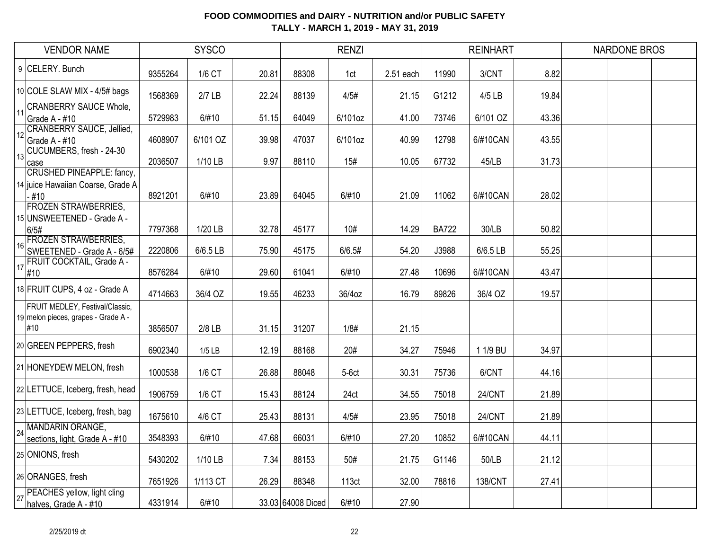|    | <b>VENDOR NAME</b>                                                              |         | <b>SYSCO</b> |       |                   | <b>RENZI</b> |           |              | <b>REINHART</b> |       | <b>NARDONE BROS</b> |  |
|----|---------------------------------------------------------------------------------|---------|--------------|-------|-------------------|--------------|-----------|--------------|-----------------|-------|---------------------|--|
| 9  | CELERY. Bunch                                                                   | 9355264 | 1/6 CT       | 20.81 | 88308             | 1ct          | 2.51 each | 11990        | 3/CNT           | 8.82  |                     |  |
|    | 10 COLE SLAW MIX - 4/5# bags                                                    | 1568369 | $2/7$ LB     | 22.24 | 88139             | 4/5#         | 21.15     | G1212        | 4/5 LB          | 19.84 |                     |  |
| 11 | <b>CRANBERRY SAUCE Whole,</b><br>Grade A - #10                                  | 5729983 | 6/#10        | 51.15 | 64049             | 6/101oz      | 41.00     | 73746        | 6/101 OZ        | 43.36 |                     |  |
| 12 | <b>CRANBERRY SAUCE, Jellied,</b><br>Grade A - #10                               | 4608907 | 6/101 OZ     | 39.98 | 47037             | 6/101oz      | 40.99     | 12798        | 6/#10CAN        | 43.55 |                     |  |
| 13 | CUCUMBERS, fresh - 24-30<br>case                                                | 2036507 | 1/10 LB      | 9.97  | 88110             | 15#          | 10.05     | 67732        | 45/LB           | 31.73 |                     |  |
|    | <b>CRUSHED PINEAPPLE: fancy,</b><br>14 juice Hawaiian Coarse, Grade A<br>$-#10$ | 8921201 | 6/#10        | 23.89 | 64045             | 6/#10        | 21.09     | 11062        | 6/#10CAN        | 28.02 |                     |  |
|    | <b>FROZEN STRAWBERRIES,</b><br>15 UNSWEETENED - Grade A -<br>6/5#               | 7797368 | 1/20 LB      | 32.78 | 45177             | 10#          | 14.29     | <b>BA722</b> | 30/LB           | 50.82 |                     |  |
| 16 | <b>FROZEN STRAWBERRIES,</b><br>SWEETENED - Grade A - 6/5#                       | 2220806 | 6/6.5 LB     | 75.90 | 45175             | 6/6.5#       | 54.20     | J3988        | 6/6.5 LB        | 55.25 |                     |  |
| 17 | FRUIT COCKTAIL, Grade A -<br>#10                                                | 8576284 | 6/#10        | 29.60 | 61041             | 6/#10        | 27.48     | 10696        | 6/#10CAN        | 43.47 |                     |  |
|    | 18 FRUIT CUPS, 4 oz - Grade A                                                   | 4714663 | 36/4 OZ      | 19.55 | 46233             | 36/4oz       | 16.79     | 89826        | 36/4 OZ         | 19.57 |                     |  |
|    | FRUIT MEDLEY, Festival/Classic,<br>19 melon pieces, grapes - Grade A -<br>#10   | 3856507 | $2/8$ LB     | 31.15 | 31207             | 1/8#         | 21.15     |              |                 |       |                     |  |
|    | 20 GREEN PEPPERS, fresh                                                         | 6902340 | $1/5$ LB     | 12.19 | 88168             | 20#          | 34.27     | 75946        | 1 1/9 BU        | 34.97 |                     |  |
|    | 21 HONEYDEW MELON, fresh                                                        | 1000538 | 1/6 CT       | 26.88 | 88048             | $5-6ct$      | 30.31     | 75736        | 6/CNT           | 44.16 |                     |  |
|    | 22 LETTUCE, Iceberg, fresh, head                                                | 1906759 | 1/6 CT       | 15.43 | 88124             | 24ct         | 34.55     | 75018        | 24/CNT          | 21.89 |                     |  |
|    | 23 LETTUCE, Iceberg, fresh, bag                                                 | 1675610 | 4/6 CT       | 25.43 | 88131             | 4/5#         | 23.95     | 75018        | 24/CNT          | 21.89 |                     |  |
| 24 | MANDARIN ORANGE,<br>sections, light, Grade A - #10                              | 3548393 | 6/#10        | 47.68 | 66031             | 6/#10        | 27.20     | 10852        | 6/#10CAN        | 44.11 |                     |  |
|    | 25 ONIONS, fresh                                                                | 5430202 | 1/10 LB      | 7.34  | 88153             | 50#          | 21.75     | G1146        | 50/LB           | 21.12 |                     |  |
|    | 26 ORANGES, fresh                                                               | 7651926 | 1/113 CT     | 26.29 | 88348             | 113ct        | 32.00     | 78816        | <b>138/CNT</b>  | 27.41 |                     |  |
| 27 | PEACHES yellow, light cling<br>halves, Grade A - #10                            | 4331914 | 6/#10        |       | 33.03 64008 Diced | 6/#10        | 27.90     |              |                 |       |                     |  |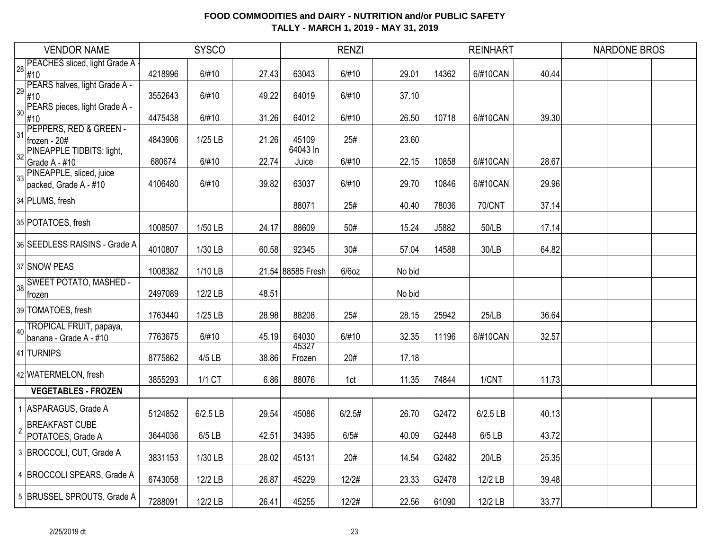|                | <b>VENDOR NAME</b>                        |         | <b>SYSCO</b> |       |                   | <b>RENZI</b> |        |       | <b>REINHART</b> |       | <b>NARDONE BROS</b> |  |
|----------------|-------------------------------------------|---------|--------------|-------|-------------------|--------------|--------|-------|-----------------|-------|---------------------|--|
| 28             | PEACHES sliced, light Grade A -           |         |              |       |                   |              |        |       |                 |       |                     |  |
|                | #10<br>PEARS halves, light Grade A -      | 4218996 | 6/#10        | 27.43 | 63043             | 6/#10        | 29.01  | 14362 | 6/#10CAN        | 40.44 |                     |  |
| 29             | #10                                       | 3552643 | 6/#10        | 49.22 | 64019             | 6/#10        | 37.10  |       |                 |       |                     |  |
| 30             | PEARS pieces, light Grade A -             |         |              |       |                   |              |        |       |                 |       |                     |  |
|                | #10<br>PEPPERS, RED & GREEN -             | 4475438 | 6/#10        | 31.26 | 64012             | 6/#10        | 26.50  | 10718 | 6/#10CAN        | 39.30 |                     |  |
| 31             | frozen - 20#                              | 4843906 | $1/25$ LB    | 21.26 | 45109             | 25#          | 23.60  |       |                 |       |                     |  |
| 32             | PINEAPPLE TIDBITS: light,                 |         |              |       | 64043 In          |              |        |       |                 |       |                     |  |
|                | Grade A - #10<br>PINEAPPLE, sliced, juice | 680674  | 6/#10        | 22.74 | Juice             | 6/#10        | 22.15  | 10858 | 6/#10CAN        | 28.67 |                     |  |
| 33             | packed, Grade A - #10                     | 4106480 | 6/#10        | 39.82 | 63037             | 6/#10        | 29.70  | 10846 | 6/#10CAN        | 29.96 |                     |  |
|                | 34 PLUMS, fresh                           |         |              |       | 88071             | 25#          | 40.40  | 78036 | <b>70/CNT</b>   | 37.14 |                     |  |
|                | 35 POTATOES, fresh                        |         |              |       |                   |              |        |       |                 |       |                     |  |
|                |                                           | 1008507 | 1/50 LB      | 24.17 | 88609             | 50#          | 15.24  | J5882 | 50/LB           | 17.14 |                     |  |
|                | 36 SEEDLESS RAISINS - Grade A             | 4010807 | 1/30 LB      | 60.58 | 92345             | 30#          | 57.04  | 14588 | 30/LB           | 64.82 |                     |  |
|                | 37 SNOW PEAS                              | 1008382 | 1/10 LB      |       | 21.54 88585 Fresh | $6/6$ oz     | No bid |       |                 |       |                     |  |
| 38             | <b>SWEET POTATO, MASHED -</b>             | 2497089 | 12/2 LB      | 48.51 |                   |              | No bid |       |                 |       |                     |  |
|                | frozen                                    |         |              |       |                   |              |        |       |                 |       |                     |  |
|                | 39 TOMATOES, fresh                        | 1763440 | 1/25 LB      | 28.98 | 88208             | 25#          | 28.15  | 25942 | 25/LB           | 36.64 |                     |  |
|                | TROPICAL FRUIT, papaya,                   | 7763675 | 6/#10        | 45.19 | 64030             | 6/#10        | 32.35  | 11196 | 6/#10CAN        | 32.57 |                     |  |
|                | banana - Grade A - #10                    |         |              |       | 45327             |              |        |       |                 |       |                     |  |
|                | 41 TURNIPS                                | 8775862 | $4/5$ LB     | 38.86 | Frozen            | 20#          | 17.18  |       |                 |       |                     |  |
|                | 42 WATERMELON, fresh                      | 3855293 | 1/1 CT       | 6.86  | 88076             | 1ct          | 11.35  | 74844 | 1/CNT           | 11.73 |                     |  |
|                | <b>VEGETABLES - FROZEN</b>                |         |              |       |                   |              |        |       |                 |       |                     |  |
|                | 1 ASPARAGUS, Grade A                      | 5124852 | 6/2.5 LB     | 29.54 | 45086             | 6/2.5#       | 26.70  | G2472 | 6/2.5 LB        | 40.13 |                     |  |
| $\overline{2}$ | <b>BREAKFAST CUBE</b>                     |         |              |       |                   |              |        |       |                 |       |                     |  |
|                | POTATOES, Grade A                         | 3644036 | $6/5$ LB     | 42.51 | 34395             | 6/5#         | 40.09  | G2448 | 6/5 LB          | 43.72 |                     |  |
|                | 3 BROCCOLI, CUT, Grade A                  | 3831153 | 1/30 LB      | 28.02 | 45131             | 20#          | 14.54  | G2482 | 20/LB           | 25.35 |                     |  |
|                | 4 BROCCOLI SPEARS, Grade A                | 6743058 | 12/2 LB      | 26.87 | 45229             | 12/2#        | 23.33  | G2478 | 12/2 LB         | 39.48 |                     |  |
|                | 5 BRUSSEL SPROUTS, Grade A                | 7288091 | 12/2 LB      | 26.41 | 45255             | 12/2#        | 22.56  | 61090 | 12/2 LB         | 33.77 |                     |  |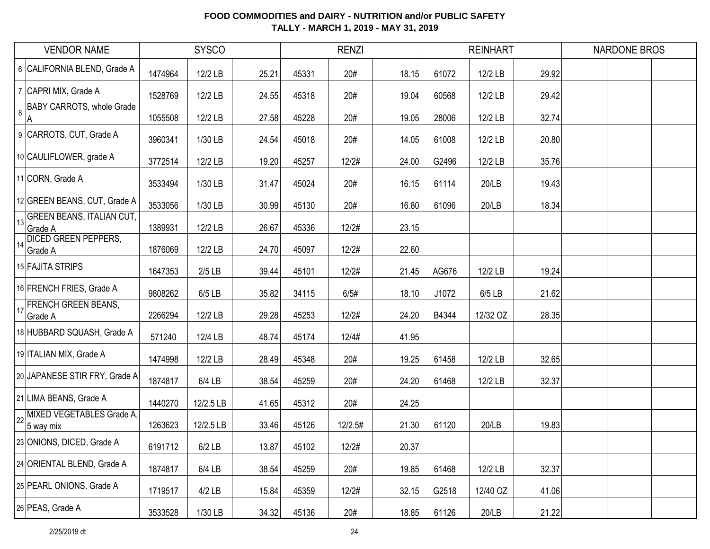|    | <b>VENDOR NAME</b>                          |         | <b>SYSCO</b> |       |       | <b>RENZI</b> |       |       | <b>REINHART</b> |       | <b>NARDONE BROS</b> |  |
|----|---------------------------------------------|---------|--------------|-------|-------|--------------|-------|-------|-----------------|-------|---------------------|--|
|    | 6 CALIFORNIA BLEND, Grade A                 | 1474964 | 12/2 LB      | 25.21 | 45331 | 20#          | 18.15 | 61072 | 12/2 LB         | 29.92 |                     |  |
|    | 7 CAPRI MIX, Grade A                        | 1528769 | 12/2 LB      | 24.55 | 45318 | 20#          | 19.04 | 60568 | 12/2 LB         | 29.42 |                     |  |
| 8  | <b>BABY CARROTS, whole Grade</b><br>А       | 1055508 | 12/2 LB      | 27.58 | 45228 | 20#          | 19.05 | 28006 | 12/2 LB         | 32.74 |                     |  |
|    | 9 CARROTS, CUT, Grade A                     | 3960341 | 1/30 LB      | 24.54 | 45018 | 20#          | 14.05 | 61008 | 12/2 LB         | 20.80 |                     |  |
|    | 10 CAULIFLOWER, grade A                     | 3772514 | 12/2 LB      | 19.20 | 45257 | 12/2#        | 24.00 | G2496 | 12/2 LB         | 35.76 |                     |  |
|    | 11 CORN, Grade A                            | 3533494 | 1/30 LB      | 31.47 | 45024 | 20#          | 16.15 | 61114 | 20/LB           | 19.43 |                     |  |
|    | 12 GREEN BEANS, CUT, Grade A                | 3533056 | 1/30 LB      | 30.99 | 45130 | 20#          | 16.80 | 61096 | 20/LB           | 18.34 |                     |  |
| 13 | <b>GREEN BEANS, ITALIAN CUT,</b><br>Grade A | 1389931 | 12/2 LB      | 26.67 | 45336 | 12/2#        | 23.15 |       |                 |       |                     |  |
| 14 | <b>DICED GREEN PEPPERS,</b><br>Grade A      | 1876069 | 12/2 LB      | 24.70 | 45097 | 12/2#        | 22.60 |       |                 |       |                     |  |
|    | 15 FAJITA STRIPS                            | 1647353 | $2/5$ LB     | 39.44 | 45101 | 12/2#        | 21.45 | AG676 | 12/2 LB         | 19.24 |                     |  |
|    | 16 FRENCH FRIES, Grade A                    | 9808262 | $6/5$ LB     | 35.82 | 34115 | 6/5#         | 18.10 | J1072 | 6/5 LB          | 21.62 |                     |  |
| 17 | <b>FRENCH GREEN BEANS,</b><br>Grade A       | 2266294 | 12/2 LB      | 29.28 | 45253 | 12/2#        | 24.20 | B4344 | 12/32 OZ        | 28.35 |                     |  |
|    | 18 HUBBARD SQUASH, Grade A                  | 571240  | 12/4 LB      | 48.74 | 45174 | 12/4#        | 41.95 |       |                 |       |                     |  |
|    | 19 ITALIAN MIX, Grade A                     | 1474998 | 12/2 LB      | 28.49 | 45348 | 20#          | 19.25 | 61458 | 12/2 LB         | 32.65 |                     |  |
|    | 20 JAPANESE STIR FRY, Grade A               | 1874817 | 6/4 LB       | 38.54 | 45259 | 20#          | 24.20 | 61468 | 12/2 LB         | 32.37 |                     |  |
|    | 21 LIMA BEANS, Grade A                      | 1440270 | 12/2.5 LB    | 41.65 | 45312 | 20#          | 24.25 |       |                 |       |                     |  |
| 22 | MIXED VEGETABLES Grade A,<br>5 way mix      | 1263623 | 12/2.5 LB    | 33.46 | 45126 | 12/2.5#      | 21.30 | 61120 | 20/LB           | 19.83 |                     |  |
|    | 23 ONIONS, DICED, Grade A                   | 6191712 | $6/2$ LB     | 13.87 | 45102 | 12/2#        | 20.37 |       |                 |       |                     |  |
|    | 24 ORIENTAL BLEND, Grade A                  | 1874817 | 6/4 LB       | 38.54 | 45259 | 20#          | 19.85 | 61468 | 12/2 LB         | 32.37 |                     |  |
|    | 25 PEARL ONIONS. Grade A                    | 1719517 | $4/2$ LB     | 15.84 | 45359 | 12/2#        | 32.15 | G2518 | 12/40 OZ        | 41.06 |                     |  |
|    | 26 PEAS, Grade A                            | 3533528 | 1/30 LB      | 34.32 | 45136 | 20#          | 18.85 | 61126 | 20/LB           | 21.22 |                     |  |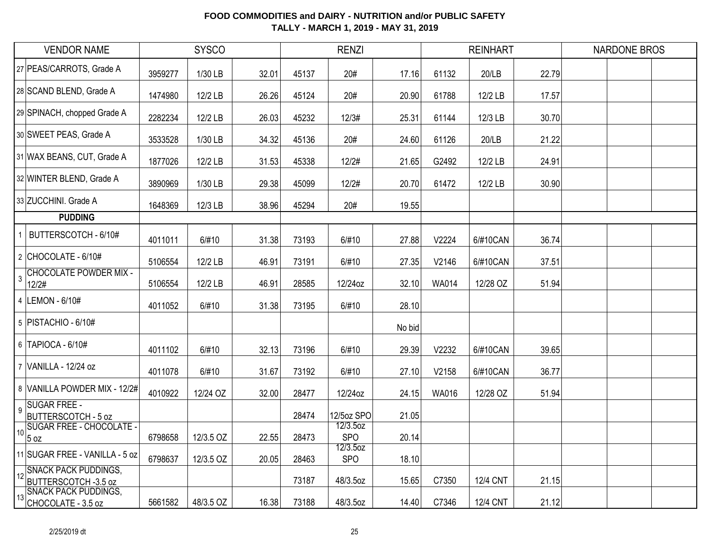| <b>VENDOR NAME</b>                                                  | <b>SYSCO</b> |           |       | <b>RENZI</b> |                        |        | <b>REINHART</b> |                 |       | <b>NARDONE BROS</b> |  |
|---------------------------------------------------------------------|--------------|-----------|-------|--------------|------------------------|--------|-----------------|-----------------|-------|---------------------|--|
| 27 PEAS/CARROTS, Grade A                                            | 3959277      | 1/30 LB   | 32.01 | 45137        | 20#                    | 17.16  | 61132           | 20/LB           | 22.79 |                     |  |
| 28 SCAND BLEND, Grade A                                             | 1474980      | 12/2 LB   | 26.26 | 45124        | 20#                    | 20.90  | 61788           | 12/2 LB         | 17.57 |                     |  |
| 29 SPINACH, chopped Grade A                                         | 2282234      | 12/2 LB   | 26.03 | 45232        | 12/3#                  | 25.31  | 61144           | 12/3 LB         | 30.70 |                     |  |
| 30 SWEET PEAS, Grade A                                              | 3533528      | 1/30 LB   | 34.32 | 45136        | 20#                    | 24.60  | 61126           | 20/LB           | 21.22 |                     |  |
| 31 WAX BEANS, CUT, Grade A                                          | 1877026      | 12/2 LB   | 31.53 | 45338        | 12/2#                  | 21.65  | G2492           | 12/2 LB         | 24.91 |                     |  |
| 32 WINTER BLEND, Grade A                                            | 3890969      | 1/30 LB   | 29.38 | 45099        | 12/2#                  | 20.70  | 61472           | 12/2 LB         | 30.90 |                     |  |
| 33 ZUCCHINI. Grade A                                                | 1648369      | 12/3 LB   | 38.96 | 45294        | 20#                    | 19.55  |                 |                 |       |                     |  |
| <b>PUDDING</b>                                                      |              |           |       |              |                        |        |                 |                 |       |                     |  |
| BUTTERSCOTCH - 6/10#                                                | 4011011      | 6/#10     | 31.38 | 73193        | 6/#10                  | 27.88  | V2224           | 6/#10CAN        | 36.74 |                     |  |
| $2$ CHOCOLATE - 6/10#                                               | 5106554      | 12/2 LB   | 46.91 | 73191        | 6/#10                  | 27.35  | V2146           | 6/#10CAN        | 37.51 |                     |  |
| <b>CHOCOLATE POWDER MIX -</b><br>$\mathbf{3}$<br>12/2#              | 5106554      | 12/2 LB   | 46.91 | 28585        | 12/24oz                | 32.10  | <b>WA014</b>    | 12/28 OZ        | 51.94 |                     |  |
| 4 LEMON - 6/10#                                                     | 4011052      | 6/#10     | 31.38 | 73195        | 6/#10                  | 28.10  |                 |                 |       |                     |  |
| 5   PISTACHIO - 6/10#                                               |              |           |       |              |                        | No bid |                 |                 |       |                     |  |
| 6   TAPIOCA - 6/10#                                                 | 4011102      | 6/#10     | 32.13 | 73196        | 6/#10                  | 29.39  | V2232           | 6/#10CAN        | 39.65 |                     |  |
| 7 VANILLA - 12/24 oz                                                | 4011078      | 6/#10     | 31.67 | 73192        | 6/#10                  | 27.10  | V2158           | 6/#10CAN        | 36.77 |                     |  |
| 8 VANILLA POWDER MIX - 12/2#                                        | 4010922      | 12/24 OZ  | 32.00 | 28477        | 12/24oz                | 24.15  | WA016           | 12/28 OZ        | 51.94 |                     |  |
| <b>SUGAR FREE -</b><br>$\overline{9}$<br><b>BUTTERSCOTCH - 5 oz</b> |              |           |       | 28474        | 12/5oz SPO             | 21.05  |                 |                 |       |                     |  |
| <b>SUGAR FREE - CHOCOLATE -</b><br>10<br>5 oz                       | 6798658      | 12/3.5 OZ | 22.55 | 28473        | 12/3.5oz<br><b>SPO</b> | 20.14  |                 |                 |       |                     |  |
| 11 SUGAR FREE - VANILLA - 5 oz                                      | 6798637      | 12/3.5 OZ | 20.05 | 28463        | 12/3.5oz<br><b>SPO</b> | 18.10  |                 |                 |       |                     |  |
| 12 SNACK PACK PUDDINGS,<br>BUTTERSCOTCH -3.5 oz                     |              |           |       | 73187        | 48/3.5oz               | 15.65  | C7350           | <b>12/4 CNT</b> | 21.15 |                     |  |
| <b>SNACK PACK PUDDINGS,</b><br>13<br>CHOCOLATE - 3.5 oz             | 5661582      | 48/3.5 OZ | 16.38 | 73188        | 48/3.5oz               | 14.40  | C7346           | 12/4 CNT        | 21.12 |                     |  |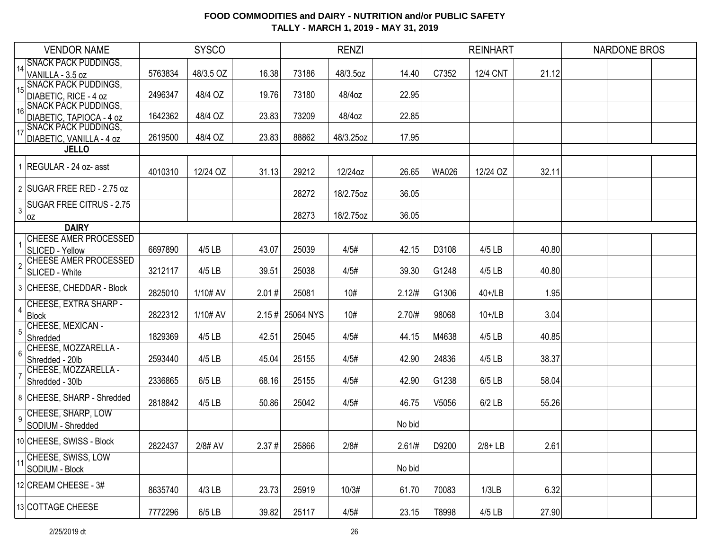| 14 SNACK PACK PUDDINGS,<br>5763834<br>48/3.5 OZ<br>16.38<br>48/3.5oz<br>C7352<br><b>12/4 CNT</b><br>21.12<br>VANILLA - 3.5 oz<br>73186<br>14.40<br><b>SNACK PACK PUDDINGS,</b><br>15 <sup>15</sup><br>DIABETIC, RICE - 4 oz<br>22.95<br>2496347<br>48/4 OZ<br>19.76<br>73180<br>48/4oz<br><b>SNACK PACK PUDDINGS,</b><br>16<br>DIABETIC, TAPIOCA - 4 oz<br>1642362<br>48/4 OZ<br>23.83<br>73209<br>48/4oz<br>22.85<br><b>SNACK PACK PUDDINGS,</b><br>17<br>DIABETIC, VANILLA - 4 oz<br>2619500<br>48/4 OZ<br>23.83<br>88862<br>48/3.25oz<br>17.95<br><b>JELLO</b><br>1 REGULAR - 24 oz- asst<br>4010310<br>29212<br>12/24oz<br>12/24 OZ<br>32.11<br>12/24 OZ<br>31.13<br>26.65<br><b>WA026</b><br>2 SUGAR FREE RED - 2.75 oz<br>28272<br>18/2.75oz<br>36.05<br><b>SUGAR FREE CITRUS - 2.75</b><br>3<br>18/2.75oz<br>36.05<br>28273<br> OZ<br><b>DAIRY</b><br><b>CHEESE AMER PROCESSED</b><br>6697890<br>4/5 LB<br>43.07<br>25039<br>4/5#<br>42.15<br>D3108<br>$4/5$ LB<br>40.80<br>SLICED - Yellow<br><b>CHEESE AMER PROCESSED</b><br>$\overline{2}$<br>3212117<br>4/5 LB<br>39.51<br>25038<br>4/5#<br>39.30<br>G1248<br>4/5 LB<br>40.80<br>SLICED - White<br>3 CHEESE, CHEDDAR - Block<br>10#<br>1.95<br>2825010<br>1/10# AV<br>2.01#<br>25081<br>2.12/H<br>G1306<br>40+/LB<br>CHEESE, EXTRA SHARP -<br>$\overline{4}$<br>3.04<br>2822312<br>1/10# AV<br>$2.15 \#$ 25064 NYS<br>10#<br>2.70/#<br>98068<br>$10+1$ LB<br>Block<br>CHEESE, MEXICAN -<br>5<br>Shredded<br>4/5 LB<br>42.51<br>4/5#<br>40.85<br>1829369<br>25045<br>44.15<br>M4638<br>4/5 LB<br>CHEESE, MOZZARELLA -<br>6<br>4/5#<br>38.37<br>Shredded - 20lb<br>2593440<br>$4/5$ LB<br>45.04<br>25155<br>42.90<br>24836<br>4/5 LB<br>CHEESE, MOZZARELLA -<br>$\overline{7}$<br>4/5#<br>2336865<br>$6/5$ LB<br>68.16<br>25155<br>42.90<br>G1238<br>6/5 LB<br>58.04<br>Shredded - 30lb<br>8 CHEESE, SHARP - Shredded<br>4/5#<br>2818842<br>$4/5$ LB<br>50.86<br>25042<br>46.75<br>V5056<br>$6/2$ LB<br>55.26<br>9 CHEESE, SHARP, LOW<br>No bid<br>SODIUM - Shredded<br>10 CHEESE, SWISS - Block<br>2822437<br>2/8# AV<br>2.37#<br>25866<br>2/8#<br>2.61/#<br>D9200<br>$2/8 + LB$<br>2.61<br>11 CHEESE, SWISS, LOW<br>No bid<br>SODIUM - Block<br>12 CREAM CHEESE - 3#<br>$4/3$ LB<br>10/3#<br>6.32<br>8635740<br>23.73<br>25919<br>61.70<br>70083<br>1/3LB<br>13 COTTAGE CHEESE | <b>VENDOR NAME</b> | <b>SYSCO</b> |          | <b>RENZI</b> |       |      | <b>REINHART</b> |       |        | <b>NARDONE BROS</b> |  |  |
|-------------------------------------------------------------------------------------------------------------------------------------------------------------------------------------------------------------------------------------------------------------------------------------------------------------------------------------------------------------------------------------------------------------------------------------------------------------------------------------------------------------------------------------------------------------------------------------------------------------------------------------------------------------------------------------------------------------------------------------------------------------------------------------------------------------------------------------------------------------------------------------------------------------------------------------------------------------------------------------------------------------------------------------------------------------------------------------------------------------------------------------------------------------------------------------------------------------------------------------------------------------------------------------------------------------------------------------------------------------------------------------------------------------------------------------------------------------------------------------------------------------------------------------------------------------------------------------------------------------------------------------------------------------------------------------------------------------------------------------------------------------------------------------------------------------------------------------------------------------------------------------------------------------------------------------------------------------------------------------------------------------------------------------------------------------------------------------------------------------------------------------------------------------------------------------------------------------------------------------------------------------------------------------------------------------------------------------------|--------------------|--------------|----------|--------------|-------|------|-----------------|-------|--------|---------------------|--|--|
|                                                                                                                                                                                                                                                                                                                                                                                                                                                                                                                                                                                                                                                                                                                                                                                                                                                                                                                                                                                                                                                                                                                                                                                                                                                                                                                                                                                                                                                                                                                                                                                                                                                                                                                                                                                                                                                                                                                                                                                                                                                                                                                                                                                                                                                                                                                                           |                    |              |          |              |       |      |                 |       |        |                     |  |  |
|                                                                                                                                                                                                                                                                                                                                                                                                                                                                                                                                                                                                                                                                                                                                                                                                                                                                                                                                                                                                                                                                                                                                                                                                                                                                                                                                                                                                                                                                                                                                                                                                                                                                                                                                                                                                                                                                                                                                                                                                                                                                                                                                                                                                                                                                                                                                           |                    |              |          |              |       |      |                 |       |        |                     |  |  |
|                                                                                                                                                                                                                                                                                                                                                                                                                                                                                                                                                                                                                                                                                                                                                                                                                                                                                                                                                                                                                                                                                                                                                                                                                                                                                                                                                                                                                                                                                                                                                                                                                                                                                                                                                                                                                                                                                                                                                                                                                                                                                                                                                                                                                                                                                                                                           |                    |              |          |              |       |      |                 |       |        |                     |  |  |
|                                                                                                                                                                                                                                                                                                                                                                                                                                                                                                                                                                                                                                                                                                                                                                                                                                                                                                                                                                                                                                                                                                                                                                                                                                                                                                                                                                                                                                                                                                                                                                                                                                                                                                                                                                                                                                                                                                                                                                                                                                                                                                                                                                                                                                                                                                                                           |                    |              |          |              |       |      |                 |       |        |                     |  |  |
|                                                                                                                                                                                                                                                                                                                                                                                                                                                                                                                                                                                                                                                                                                                                                                                                                                                                                                                                                                                                                                                                                                                                                                                                                                                                                                                                                                                                                                                                                                                                                                                                                                                                                                                                                                                                                                                                                                                                                                                                                                                                                                                                                                                                                                                                                                                                           |                    |              |          |              |       |      |                 |       |        |                     |  |  |
|                                                                                                                                                                                                                                                                                                                                                                                                                                                                                                                                                                                                                                                                                                                                                                                                                                                                                                                                                                                                                                                                                                                                                                                                                                                                                                                                                                                                                                                                                                                                                                                                                                                                                                                                                                                                                                                                                                                                                                                                                                                                                                                                                                                                                                                                                                                                           |                    |              |          |              |       |      |                 |       |        |                     |  |  |
|                                                                                                                                                                                                                                                                                                                                                                                                                                                                                                                                                                                                                                                                                                                                                                                                                                                                                                                                                                                                                                                                                                                                                                                                                                                                                                                                                                                                                                                                                                                                                                                                                                                                                                                                                                                                                                                                                                                                                                                                                                                                                                                                                                                                                                                                                                                                           |                    |              |          |              |       |      |                 |       |        |                     |  |  |
|                                                                                                                                                                                                                                                                                                                                                                                                                                                                                                                                                                                                                                                                                                                                                                                                                                                                                                                                                                                                                                                                                                                                                                                                                                                                                                                                                                                                                                                                                                                                                                                                                                                                                                                                                                                                                                                                                                                                                                                                                                                                                                                                                                                                                                                                                                                                           |                    |              |          |              |       |      |                 |       |        |                     |  |  |
|                                                                                                                                                                                                                                                                                                                                                                                                                                                                                                                                                                                                                                                                                                                                                                                                                                                                                                                                                                                                                                                                                                                                                                                                                                                                                                                                                                                                                                                                                                                                                                                                                                                                                                                                                                                                                                                                                                                                                                                                                                                                                                                                                                                                                                                                                                                                           |                    |              |          |              |       |      |                 |       |        |                     |  |  |
|                                                                                                                                                                                                                                                                                                                                                                                                                                                                                                                                                                                                                                                                                                                                                                                                                                                                                                                                                                                                                                                                                                                                                                                                                                                                                                                                                                                                                                                                                                                                                                                                                                                                                                                                                                                                                                                                                                                                                                                                                                                                                                                                                                                                                                                                                                                                           |                    |              |          |              |       |      |                 |       |        |                     |  |  |
|                                                                                                                                                                                                                                                                                                                                                                                                                                                                                                                                                                                                                                                                                                                                                                                                                                                                                                                                                                                                                                                                                                                                                                                                                                                                                                                                                                                                                                                                                                                                                                                                                                                                                                                                                                                                                                                                                                                                                                                                                                                                                                                                                                                                                                                                                                                                           |                    |              |          |              |       |      |                 |       |        |                     |  |  |
|                                                                                                                                                                                                                                                                                                                                                                                                                                                                                                                                                                                                                                                                                                                                                                                                                                                                                                                                                                                                                                                                                                                                                                                                                                                                                                                                                                                                                                                                                                                                                                                                                                                                                                                                                                                                                                                                                                                                                                                                                                                                                                                                                                                                                                                                                                                                           |                    |              |          |              |       |      |                 |       |        |                     |  |  |
|                                                                                                                                                                                                                                                                                                                                                                                                                                                                                                                                                                                                                                                                                                                                                                                                                                                                                                                                                                                                                                                                                                                                                                                                                                                                                                                                                                                                                                                                                                                                                                                                                                                                                                                                                                                                                                                                                                                                                                                                                                                                                                                                                                                                                                                                                                                                           |                    |              |          |              |       |      |                 |       |        |                     |  |  |
|                                                                                                                                                                                                                                                                                                                                                                                                                                                                                                                                                                                                                                                                                                                                                                                                                                                                                                                                                                                                                                                                                                                                                                                                                                                                                                                                                                                                                                                                                                                                                                                                                                                                                                                                                                                                                                                                                                                                                                                                                                                                                                                                                                                                                                                                                                                                           |                    |              |          |              |       |      |                 |       |        |                     |  |  |
|                                                                                                                                                                                                                                                                                                                                                                                                                                                                                                                                                                                                                                                                                                                                                                                                                                                                                                                                                                                                                                                                                                                                                                                                                                                                                                                                                                                                                                                                                                                                                                                                                                                                                                                                                                                                                                                                                                                                                                                                                                                                                                                                                                                                                                                                                                                                           |                    |              |          |              |       |      |                 |       |        |                     |  |  |
|                                                                                                                                                                                                                                                                                                                                                                                                                                                                                                                                                                                                                                                                                                                                                                                                                                                                                                                                                                                                                                                                                                                                                                                                                                                                                                                                                                                                                                                                                                                                                                                                                                                                                                                                                                                                                                                                                                                                                                                                                                                                                                                                                                                                                                                                                                                                           |                    |              |          |              |       |      |                 |       |        |                     |  |  |
|                                                                                                                                                                                                                                                                                                                                                                                                                                                                                                                                                                                                                                                                                                                                                                                                                                                                                                                                                                                                                                                                                                                                                                                                                                                                                                                                                                                                                                                                                                                                                                                                                                                                                                                                                                                                                                                                                                                                                                                                                                                                                                                                                                                                                                                                                                                                           |                    |              |          |              |       |      |                 |       |        |                     |  |  |
|                                                                                                                                                                                                                                                                                                                                                                                                                                                                                                                                                                                                                                                                                                                                                                                                                                                                                                                                                                                                                                                                                                                                                                                                                                                                                                                                                                                                                                                                                                                                                                                                                                                                                                                                                                                                                                                                                                                                                                                                                                                                                                                                                                                                                                                                                                                                           |                    |              |          |              |       |      |                 |       |        |                     |  |  |
|                                                                                                                                                                                                                                                                                                                                                                                                                                                                                                                                                                                                                                                                                                                                                                                                                                                                                                                                                                                                                                                                                                                                                                                                                                                                                                                                                                                                                                                                                                                                                                                                                                                                                                                                                                                                                                                                                                                                                                                                                                                                                                                                                                                                                                                                                                                                           |                    |              |          |              |       |      |                 |       |        |                     |  |  |
|                                                                                                                                                                                                                                                                                                                                                                                                                                                                                                                                                                                                                                                                                                                                                                                                                                                                                                                                                                                                                                                                                                                                                                                                                                                                                                                                                                                                                                                                                                                                                                                                                                                                                                                                                                                                                                                                                                                                                                                                                                                                                                                                                                                                                                                                                                                                           |                    |              |          |              |       |      |                 |       |        |                     |  |  |
|                                                                                                                                                                                                                                                                                                                                                                                                                                                                                                                                                                                                                                                                                                                                                                                                                                                                                                                                                                                                                                                                                                                                                                                                                                                                                                                                                                                                                                                                                                                                                                                                                                                                                                                                                                                                                                                                                                                                                                                                                                                                                                                                                                                                                                                                                                                                           |                    |              |          |              |       |      |                 |       |        |                     |  |  |
|                                                                                                                                                                                                                                                                                                                                                                                                                                                                                                                                                                                                                                                                                                                                                                                                                                                                                                                                                                                                                                                                                                                                                                                                                                                                                                                                                                                                                                                                                                                                                                                                                                                                                                                                                                                                                                                                                                                                                                                                                                                                                                                                                                                                                                                                                                                                           |                    |              |          |              |       |      |                 |       |        |                     |  |  |
|                                                                                                                                                                                                                                                                                                                                                                                                                                                                                                                                                                                                                                                                                                                                                                                                                                                                                                                                                                                                                                                                                                                                                                                                                                                                                                                                                                                                                                                                                                                                                                                                                                                                                                                                                                                                                                                                                                                                                                                                                                                                                                                                                                                                                                                                                                                                           |                    |              |          |              |       |      |                 |       |        |                     |  |  |
|                                                                                                                                                                                                                                                                                                                                                                                                                                                                                                                                                                                                                                                                                                                                                                                                                                                                                                                                                                                                                                                                                                                                                                                                                                                                                                                                                                                                                                                                                                                                                                                                                                                                                                                                                                                                                                                                                                                                                                                                                                                                                                                                                                                                                                                                                                                                           |                    |              |          |              |       |      |                 |       |        |                     |  |  |
|                                                                                                                                                                                                                                                                                                                                                                                                                                                                                                                                                                                                                                                                                                                                                                                                                                                                                                                                                                                                                                                                                                                                                                                                                                                                                                                                                                                                                                                                                                                                                                                                                                                                                                                                                                                                                                                                                                                                                                                                                                                                                                                                                                                                                                                                                                                                           |                    |              |          |              |       |      |                 |       |        |                     |  |  |
|                                                                                                                                                                                                                                                                                                                                                                                                                                                                                                                                                                                                                                                                                                                                                                                                                                                                                                                                                                                                                                                                                                                                                                                                                                                                                                                                                                                                                                                                                                                                                                                                                                                                                                                                                                                                                                                                                                                                                                                                                                                                                                                                                                                                                                                                                                                                           |                    |              |          |              |       |      |                 |       |        |                     |  |  |
|                                                                                                                                                                                                                                                                                                                                                                                                                                                                                                                                                                                                                                                                                                                                                                                                                                                                                                                                                                                                                                                                                                                                                                                                                                                                                                                                                                                                                                                                                                                                                                                                                                                                                                                                                                                                                                                                                                                                                                                                                                                                                                                                                                                                                                                                                                                                           |                    |              |          |              |       |      |                 |       |        |                     |  |  |
|                                                                                                                                                                                                                                                                                                                                                                                                                                                                                                                                                                                                                                                                                                                                                                                                                                                                                                                                                                                                                                                                                                                                                                                                                                                                                                                                                                                                                                                                                                                                                                                                                                                                                                                                                                                                                                                                                                                                                                                                                                                                                                                                                                                                                                                                                                                                           |                    |              |          |              |       |      |                 |       |        |                     |  |  |
|                                                                                                                                                                                                                                                                                                                                                                                                                                                                                                                                                                                                                                                                                                                                                                                                                                                                                                                                                                                                                                                                                                                                                                                                                                                                                                                                                                                                                                                                                                                                                                                                                                                                                                                                                                                                                                                                                                                                                                                                                                                                                                                                                                                                                                                                                                                                           |                    |              |          |              |       |      |                 |       |        |                     |  |  |
|                                                                                                                                                                                                                                                                                                                                                                                                                                                                                                                                                                                                                                                                                                                                                                                                                                                                                                                                                                                                                                                                                                                                                                                                                                                                                                                                                                                                                                                                                                                                                                                                                                                                                                                                                                                                                                                                                                                                                                                                                                                                                                                                                                                                                                                                                                                                           |                    |              |          |              |       |      |                 |       |        |                     |  |  |
|                                                                                                                                                                                                                                                                                                                                                                                                                                                                                                                                                                                                                                                                                                                                                                                                                                                                                                                                                                                                                                                                                                                                                                                                                                                                                                                                                                                                                                                                                                                                                                                                                                                                                                                                                                                                                                                                                                                                                                                                                                                                                                                                                                                                                                                                                                                                           |                    |              |          |              |       |      |                 |       |        |                     |  |  |
|                                                                                                                                                                                                                                                                                                                                                                                                                                                                                                                                                                                                                                                                                                                                                                                                                                                                                                                                                                                                                                                                                                                                                                                                                                                                                                                                                                                                                                                                                                                                                                                                                                                                                                                                                                                                                                                                                                                                                                                                                                                                                                                                                                                                                                                                                                                                           |                    |              |          |              |       |      |                 |       |        |                     |  |  |
|                                                                                                                                                                                                                                                                                                                                                                                                                                                                                                                                                                                                                                                                                                                                                                                                                                                                                                                                                                                                                                                                                                                                                                                                                                                                                                                                                                                                                                                                                                                                                                                                                                                                                                                                                                                                                                                                                                                                                                                                                                                                                                                                                                                                                                                                                                                                           |                    |              |          |              |       |      |                 |       |        |                     |  |  |
|                                                                                                                                                                                                                                                                                                                                                                                                                                                                                                                                                                                                                                                                                                                                                                                                                                                                                                                                                                                                                                                                                                                                                                                                                                                                                                                                                                                                                                                                                                                                                                                                                                                                                                                                                                                                                                                                                                                                                                                                                                                                                                                                                                                                                                                                                                                                           |                    |              |          |              |       |      |                 |       |        |                     |  |  |
|                                                                                                                                                                                                                                                                                                                                                                                                                                                                                                                                                                                                                                                                                                                                                                                                                                                                                                                                                                                                                                                                                                                                                                                                                                                                                                                                                                                                                                                                                                                                                                                                                                                                                                                                                                                                                                                                                                                                                                                                                                                                                                                                                                                                                                                                                                                                           |                    |              |          |              |       |      |                 |       |        |                     |  |  |
|                                                                                                                                                                                                                                                                                                                                                                                                                                                                                                                                                                                                                                                                                                                                                                                                                                                                                                                                                                                                                                                                                                                                                                                                                                                                                                                                                                                                                                                                                                                                                                                                                                                                                                                                                                                                                                                                                                                                                                                                                                                                                                                                                                                                                                                                                                                                           |                    | 7772296      | $6/5$ LB | 39.82        | 25117 | 4/5# | 23.15           | T8998 | 4/5 LB | 27.90               |  |  |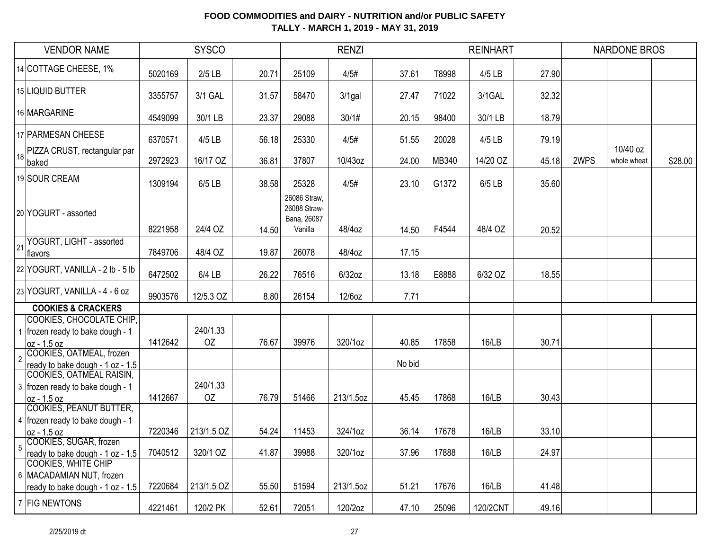| <b>VENDOR NAME</b> |                                                                                            | <b>SYSCO</b> |                |       | <b>RENZI</b>                                           |           |        |       | <b>REINHART</b> |       | <b>NARDONE BROS</b> |                         |         |
|--------------------|--------------------------------------------------------------------------------------------|--------------|----------------|-------|--------------------------------------------------------|-----------|--------|-------|-----------------|-------|---------------------|-------------------------|---------|
|                    | 14 COTTAGE CHEESE, 1%                                                                      | 5020169      | $2/5$ LB       | 20.71 | 25109                                                  | 4/5#      | 37.61  | T8998 | 4/5 LB          | 27.90 |                     |                         |         |
|                    | 15 LIQUID BUTTER                                                                           | 3355757      | 3/1 GAL        | 31.57 | 58470                                                  | $3/1$ gal | 27.47  | 71022 | 3/1GAL          | 32.32 |                     |                         |         |
|                    | 16 MARGARINE                                                                               | 4549099      | 30/1 LB        | 23.37 | 29088                                                  | 30/1#     | 20.15  | 98400 | 30/1 LB         | 18.79 |                     |                         |         |
|                    | 17 PARMESAN CHEESE                                                                         | 6370571      | 4/5 LB         | 56.18 | 25330                                                  | 4/5#      | 51.55  | 20028 | 4/5 LB          | 79.19 |                     |                         |         |
| 18                 | PIZZA CRUST, rectangular par<br>baked                                                      | 2972923      | 16/17 OZ       | 36.81 | 37807                                                  | 10/43oz   | 24.00  | MB340 | 14/20 OZ        | 45.18 | 2WPS                | 10/40 oz<br>whole wheat | \$28.00 |
|                    | 19 SOUR CREAM                                                                              | 1309194      | $6/5$ LB       | 38.58 | 25328                                                  | 4/5#      | 23.10  | G1372 | 6/5 LB          | 35.60 |                     |                         |         |
|                    | 20 YOGURT - assorted                                                                       | 8221958      | 24/4 OZ        | 14.50 | 26086 Straw,<br>26088 Straw-<br>Bana, 26087<br>Vanilla | 48/4oz    | 14.50  | F4544 | 48/4 OZ         | 20.52 |                     |                         |         |
| 21                 | YOGURT, LIGHT - assorted<br>flavors                                                        | 7849706      | 48/4 OZ        | 19.87 | 26078                                                  | 48/4oz    | 17.15  |       |                 |       |                     |                         |         |
|                    | 22 YOGURT, VANILLA - 2 lb - 5 lb                                                           | 6472502      | $6/4$ LB       | 26.22 | 76516                                                  | $6/32$ oz | 13.18  | E8888 | 6/32 OZ         | 18.55 |                     |                         |         |
|                    | 23 YOGURT, VANILLA - 4 - 6 oz                                                              | 9903576      | 12/5.3 OZ      | 8.80  | 26154                                                  | 12/6oz    | 7.71   |       |                 |       |                     |                         |         |
|                    | <b>COOKIES &amp; CRACKERS</b>                                                              |              |                |       |                                                        |           |        |       |                 |       |                     |                         |         |
|                    | COOKIES, CHOCOLATE CHIP,<br>1   frozen ready to bake dough - 1<br>oz - 1.5 oz              | 1412642      | 240/1.33<br>OZ | 76.67 | 39976                                                  | 320/1oz   | 40.85  | 17858 | 16/LB           | 30.71 |                     |                         |         |
| $\overline{2}$     | COOKIES, OATMEAL, frozen<br>ready to bake dough - 1 oz - 1.5                               |              |                |       |                                                        |           | No bid |       |                 |       |                     |                         |         |
|                    | COOKIES, OATMEAL RAISIN,<br>3 frozen ready to bake dough - 1<br>loz - 1.5 oz               | 1412667      | 240/1.33<br>OZ | 76.79 | 51466                                                  | 213/1.5oz | 45.45  | 17868 | 16/LB           | 30.43 |                     |                         |         |
|                    | <b>COOKIES, PEANUT BUTTER,</b><br>4   frozen ready to bake dough - 1<br>oz - 1.5 oz        | 7220346      | 213/1.5 OZ     | 54.24 | 11453                                                  | 324/1oz   | 36.14  | 17678 | <b>16/LB</b>    | 33.10 |                     |                         |         |
|                    | COOKIES, SUGAR, frozen<br>ready to bake dough - 1 oz - 1.5                                 | 7040512      | 320/1 OZ       | 41.87 | 39988                                                  | 320/1oz   | 37.96  | 17888 | <b>16/LB</b>    | 24.97 |                     |                         |         |
|                    | <b>COOKIES, WHITE CHIP</b><br>6 MACADAMIAN NUT, frozen<br>ready to bake dough - 1 oz - 1.5 | 7220684      | 213/1.5 OZ     | 55.50 | 51594                                                  | 213/1.5oz | 51.21  | 17676 | 16/LB           | 41.48 |                     |                         |         |
|                    | 7 FIG NEWTONS                                                                              | 4221461      | 120/2 PK       | 52.61 | 72051                                                  | 120/2oz   | 47.10  | 25096 | 120/2CNT        | 49.16 |                     |                         |         |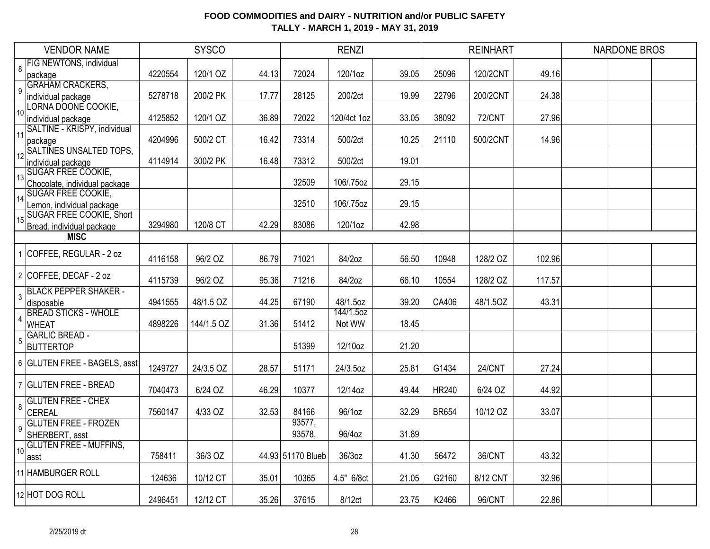| <b>VENDOR NAME</b> |                                           | <b>SYSCO</b> |            |       | <b>RENZI</b>      |                       |       |              | <b>REINHART</b> |        | <b>NARDONE BROS</b> |  |  |
|--------------------|-------------------------------------------|--------------|------------|-------|-------------------|-----------------------|-------|--------------|-----------------|--------|---------------------|--|--|
| 8                  | <b>FIG NEWTONS, individual</b>            |              |            |       |                   |                       |       |              |                 |        |                     |  |  |
|                    | package                                   | 4220554      | 120/1 OZ   | 44.13 | 72024             | 120/1oz               | 39.05 | 25096        | 120/2CNT        | 49.16  |                     |  |  |
| 9                  | <b>GRAHAM CRACKERS,</b>                   |              |            |       |                   |                       |       |              |                 |        |                     |  |  |
|                    | individual package                        | 5278718      | 200/2 PK   | 17.77 | 28125             | 200/2ct               | 19.99 | 22796        | 200/2CNT        | 24.38  |                     |  |  |
| 10                 | LORNA DOONE COOKIE,                       |              |            |       |                   |                       |       |              |                 |        |                     |  |  |
|                    | individual package                        | 4125852      | 120/1 OZ   | 36.89 | 72022             | 120/4ct 1oz           | 33.05 | 38092        | <b>72/CNT</b>   | 27.96  |                     |  |  |
| 11                 | SALTINE - KRISPY, individual              |              |            | 16.42 | 73314             | 500/2ct               |       | 21110        | 500/2CNT        |        |                     |  |  |
|                    | package<br>12 SALTINES UNSALTED TOPS,     | 4204996      | 500/2 CT   |       |                   |                       | 10.25 |              |                 | 14.96  |                     |  |  |
|                    | individual package                        | 4114914      | 300/2 PK   | 16.48 | 73312             | 500/2ct               | 19.01 |              |                 |        |                     |  |  |
|                    | 13 SUGAR FREE COOKIE,                     |              |            |       |                   |                       |       |              |                 |        |                     |  |  |
|                    | Chocolate, individual package             |              |            |       | 32509             | 106/.75oz             | 29.15 |              |                 |        |                     |  |  |
|                    | <b>SUGAR FREE COOKIE,</b>                 |              |            |       |                   |                       |       |              |                 |        |                     |  |  |
| 14                 | emon, individual package                  |              |            |       | 32510             | 106/.75oz             | 29.15 |              |                 |        |                     |  |  |
|                    | 15 SUGAR FREE COOKIE, Short               |              |            |       |                   |                       |       |              |                 |        |                     |  |  |
|                    | Bread, individual package                 | 3294980      | 120/8 CT   | 42.29 | 83086             | 120/1oz               | 42.98 |              |                 |        |                     |  |  |
|                    | <b>MISC</b>                               |              |            |       |                   |                       |       |              |                 |        |                     |  |  |
|                    | 1 COFFEE, REGULAR - 2 oz                  |              |            |       |                   |                       |       |              |                 |        |                     |  |  |
|                    |                                           | 4116158      | 96/2 OZ    | 86.79 | 71021             | 84/2oz                | 56.50 | 10948        | 128/2 OZ        | 102.96 |                     |  |  |
|                    | 2 COFFEE, DECAF - 2 oz                    |              |            |       |                   |                       |       |              |                 |        |                     |  |  |
|                    |                                           | 4115739      | 96/2 OZ    | 95.36 | 71216             | 84/2oz                | 66.10 | 10554        | 128/2 OZ        | 117.57 |                     |  |  |
| 3                  | <b>BLACK PEPPER SHAKER -</b>              |              |            |       |                   |                       |       |              |                 |        |                     |  |  |
|                    | disposable<br><b>BREAD STICKS - WHOLE</b> | 4941555      | 48/1.5 OZ  | 44.25 | 67190             | 48/1.5oz<br>144/1.5oz | 39.20 | CA406        | 48/1.5OZ        | 43.31  |                     |  |  |
| 4                  | <b>WHEAT</b>                              | 4898226      | 144/1.5 OZ | 31.36 | 51412             | Not WW                | 18.45 |              |                 |        |                     |  |  |
|                    | <b>GARLIC BREAD -</b>                     |              |            |       |                   |                       |       |              |                 |        |                     |  |  |
| 5                  | <b>BUTTERTOP</b>                          |              |            |       | 51399             | 12/10oz               | 21.20 |              |                 |        |                     |  |  |
|                    |                                           |              |            |       |                   |                       |       |              |                 |        |                     |  |  |
|                    | 6 GLUTEN FREE - BAGELS, asst              | 1249727      | 24/3.5 OZ  | 28.57 | 51171             | 24/3.5oz              | 25.81 | G1434        | 24/CNT          | 27.24  |                     |  |  |
|                    |                                           |              |            |       |                   |                       |       |              |                 |        |                     |  |  |
|                    | 7 GLUTEN FREE - BREAD                     | 7040473      | 6/24 OZ    | 46.29 | 10377             | 12/14oz               | 49.44 | <b>HR240</b> | 6/24 OZ         | 44.92  |                     |  |  |
|                    | <b>GLUTEN FREE - CHEX</b>                 |              |            |       |                   |                       |       |              |                 |        |                     |  |  |
| 8                  | CEREAL                                    | 7560147      | 4/33 OZ    | 32.53 | 84166             | 96/1oz                | 32.29 | <b>BR654</b> | 10/12 OZ        | 33.07  |                     |  |  |
| 9                  | <b>GLUTEN FREE - FROZEN</b>               |              |            |       | 93577,            |                       |       |              |                 |        |                     |  |  |
|                    | SHERBERT, asst                            |              |            |       | 93578,            | 96/4oz                | 31.89 |              |                 |        |                     |  |  |
| 10 <sup>1</sup>    | <b>GLUTEN FREE - MUFFINS,</b>             |              |            |       |                   |                       |       |              |                 |        |                     |  |  |
|                    | lasst                                     | 758411       | 36/3 OZ    |       | 44.93 51170 Blueb | 36/3oz                | 41.30 | 56472        | 36/CNT          | 43.32  |                     |  |  |
|                    | 11 HAMBURGER ROLL                         |              |            |       |                   |                       |       |              |                 |        |                     |  |  |
|                    |                                           | 124636       | 10/12 CT   | 35.01 | 10365             | 4.5" 6/8ct            | 21.05 | G2160        | 8/12 CNT        | 32.96  |                     |  |  |
|                    | 12 HOT DOG ROLL                           |              |            |       |                   |                       |       |              |                 |        |                     |  |  |
|                    |                                           | 2496451      | 12/12 CT   | 35.26 | 37615             | 8/12ct                | 23.75 | K2466        | 96/CNT          | 22.86  |                     |  |  |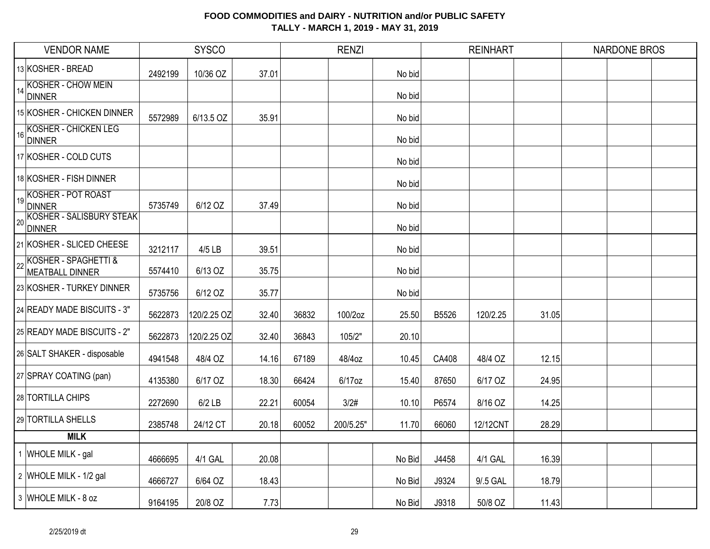| <b>VENDOR NAME</b>                           |         | <b>SYSCO</b> |       | <b>RENZI</b> |           |        | <b>REINHART</b> |          |       | <b>NARDONE BROS</b> |  |  |
|----------------------------------------------|---------|--------------|-------|--------------|-----------|--------|-----------------|----------|-------|---------------------|--|--|
| 13 KOSHER - BREAD                            | 2492199 | 10/36 OZ     | 37.01 |              |           | No bid |                 |          |       |                     |  |  |
| 14 KOSHER - CHOW MEIN<br><b>DINNER</b>       |         |              |       |              |           | No bid |                 |          |       |                     |  |  |
| 15 KOSHER - CHICKEN DINNER                   | 5572989 | 6/13.5 OZ    | 35.91 |              |           | No bid |                 |          |       |                     |  |  |
| KOSHER - CHICKEN LEG<br>DINNER               |         |              |       |              |           | No bid |                 |          |       |                     |  |  |
| 17 KOSHER - COLD CUTS                        |         |              |       |              |           | No bid |                 |          |       |                     |  |  |
| 18 KOSHER - FISH DINNER                      |         |              |       |              |           | No bid |                 |          |       |                     |  |  |
| 19 KOSHER - POT ROAST<br>DINNER              | 5735749 | 6/12 OZ      | 37.49 |              |           | No bid |                 |          |       |                     |  |  |
| <b>ZO KOSHER - SALISBURY STEAK</b><br>DINNER |         |              |       |              |           | No bid |                 |          |       |                     |  |  |
| 21 KOSHER - SLICED CHEESE                    | 3212117 | 4/5 LB       | 39.51 |              |           | No bid |                 |          |       |                     |  |  |
| KOSHER - SPAGHETTI &<br>MEATBALL DINNER      | 5574410 | 6/13 OZ      | 35.75 |              |           | No bid |                 |          |       |                     |  |  |
| 23 KOSHER - TURKEY DINNER                    | 5735756 | 6/12 OZ      | 35.77 |              |           | No bid |                 |          |       |                     |  |  |
| 24 READY MADE BISCUITS - 3"                  | 5622873 | 120/2.25 OZ  | 32.40 | 36832        | 100/2oz   | 25.50  | B5526           | 120/2.25 | 31.05 |                     |  |  |
| 25 READY MADE BISCUITS - 2"                  | 5622873 | 120/2.25 OZ  | 32.40 | 36843        | 105/2"    | 20.10  |                 |          |       |                     |  |  |
| 26 SALT SHAKER - disposable                  | 4941548 | 48/4 OZ      | 14.16 | 67189        | 48/4oz    | 10.45  | CA408           | 48/4 OZ  | 12.15 |                     |  |  |
| 27 SPRAY COATING (pan)                       | 4135380 | 6/17 OZ      | 18.30 | 66424        | 6/17oz    | 15.40  | 87650           | 6/17 OZ  | 24.95 |                     |  |  |
| 28 TORTILLA CHIPS                            | 2272690 | $6/2$ LB     | 22.21 | 60054        | 3/2#      | 10.10  | P6574           | 8/16 OZ  | 14.25 |                     |  |  |
| 29 TORTILLA SHELLS                           | 2385748 | 24/12 CT     | 20.18 | 60052        | 200/5.25" | 11.70  | 66060           | 12/12CNT | 28.29 |                     |  |  |
| <b>MILK</b>                                  |         |              |       |              |           |        |                 |          |       |                     |  |  |
| 1 WHOLE MILK - gal                           | 4666695 | 4/1 GAL      | 20.08 |              |           | No Bid | J4458           | 4/1 GAL  | 16.39 |                     |  |  |
| 2 WHOLE MILK - 1/2 gal                       | 4666727 | 6/64 OZ      | 18.43 |              |           | No Bid | J9324           | 9/.5 GAL | 18.79 |                     |  |  |
| 3 WHOLE MILK - 8 oz                          | 9164195 | 20/8 OZ      | 7.73  |              |           | No Bid | J9318           | 50/8 OZ  | 11.43 |                     |  |  |